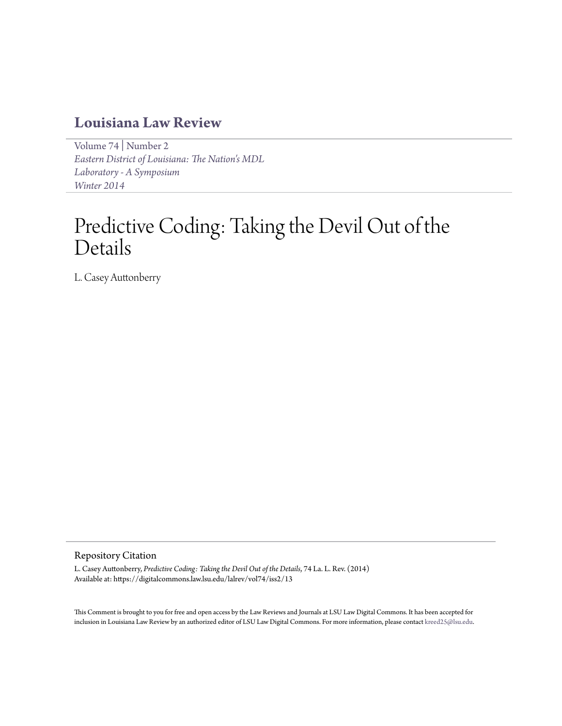# **[Louisiana Law Review](https://digitalcommons.law.lsu.edu/lalrev)**

[Volume 74](https://digitalcommons.law.lsu.edu/lalrev/vol74) | [Number 2](https://digitalcommons.law.lsu.edu/lalrev/vol74/iss2) *[Eastern District of Louisiana: The Nation's MDL](https://digitalcommons.law.lsu.edu/lalrev/vol74/iss2) [Laboratory - A Symposium](https://digitalcommons.law.lsu.edu/lalrev/vol74/iss2) [Winter 2014](https://digitalcommons.law.lsu.edu/lalrev/vol74/iss2)*

# Predictive Coding: Taking the Devil Out of the Details

L. Casey Auttonberry

#### Repository Citation

L. Casey Auttonberry, *Predictive Coding: Taking the Devil Out of the Details*, 74 La. L. Rev. (2014) Available at: https://digitalcommons.law.lsu.edu/lalrev/vol74/iss2/13

This Comment is brought to you for free and open access by the Law Reviews and Journals at LSU Law Digital Commons. It has been accepted for inclusion in Louisiana Law Review by an authorized editor of LSU Law Digital Commons. For more information, please contact [kreed25@lsu.edu](mailto:kreed25@lsu.edu).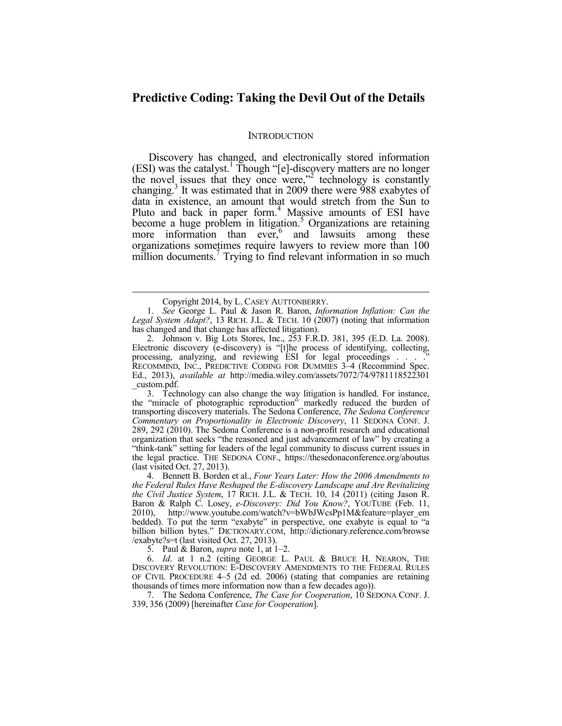# **Predictive Coding: Taking the Devil Out of the Details**

#### **INTRODUCTION**

Discovery has changed, and electronically stored information (ESI) was the catalyst.<sup>1</sup> Though "[e]-discovery matters are no longer the novel issues that they once were,"2 technology is constantly changing.<sup>3</sup> It was estimated that in 2009 there were 988 exabytes of data in existence, an amount that would stretch from the Sun to Pluto and back in paper form.<sup>4</sup> Massive amounts of ESI have become a huge problem in litigation.<sup>5</sup> Organizations are retaining more information than ever, $6$  and lawsuits among these organizations sometimes require lawyers to review more than 100 million documents.<sup>7</sup> Trying to find relevant information in so much

1

 3. Technology can also change the way litigation is handled. For instance, the "miracle of photographic reproduction" markedly reduced the burden of transporting discovery materials. The Sedona Conference, *The Sedona Conference Commentary on Proportionality in Electronic Discovery*, 11 SEDONA CONF. J. 289, 292 (2010). The Sedona Conference is a non-profit research and educational organization that seeks "the reasoned and just advancement of law" by creating a "think-tank" setting for leaders of the legal community to discuss current issues in the legal practice. THE SEDONA CONF., https://thesedonaconference.org/aboutus (last visited Oct. 27, 2013).

 4. Bennett B. Borden et al., *Four Years Later: How the 2006 Amendments to the Federal Rules Have Reshaped the E-discovery Landscape and Are Revitalizing the Civil Justice System*, 17 RICH. J.L. & TECH. 10, 14 (2011) (citing Jason R. Baron & Ralph C. Losey, *e-Discovery: Did You Know?*, YOUTUBE (Feb. 11, 2010), http://www.youtube.com/watch?v=bWbJWcsPp1M&feature=player\_em bedded). To put the term "exabyte" in perspective, one exabyte is equal to "a billion billion bytes." DICTIONARY.COM, http://dictionary.reference.com/browse /exabyte?s=t (last visited Oct. 27, 2013).

5. Paul & Baron, *supra* note 1, at 1–2.

 6. *Id*. at 1 n.2 (citing GEORGE L. PAUL & BRUCE H. NEARON, THE DISCOVERY REVOLUTION: E-DISCOVERY AMENDMENTS TO THE FEDERAL RULES OF CIVIL PROCEDURE 4–5 (2d ed. 2006) (stating that companies are retaining thousands of times more information now than a few decades ago)).

 7. The Sedona Conference, *The Case for Cooperation*, 10 SEDONA CONF. J. 339, 356 (2009) [hereinafter *Case for Cooperation*].

Copyright 2014, by L. CASEY AUTTONBERRY.

 <sup>1.</sup> *See* George L. Paul & Jason R. Baron, *Information Inflation: Can the Legal System Adapt?*, 13 RICH. J.L. & TECH. 10 (2007) (noting that information has changed and that change has affected litigation).

 <sup>2.</sup> Johnson v. Big Lots Stores, Inc., 253 F.R.D. 381, 395 (E.D. La. 2008). Electronic discovery (e-discovery) is "[t]he process of identifying, collecting, processing, analyzing, and reviewing ESI for legal proceedings . . . .<sup>"</sup> RECOMMIND, INC., PREDICTIVE CODING FOR DUMMIES 3–4 (Recommind Spec. Ed., 2013), *available at* http://media.wiley.com/assets/7072/74/9781118522301 \_custom.pdf.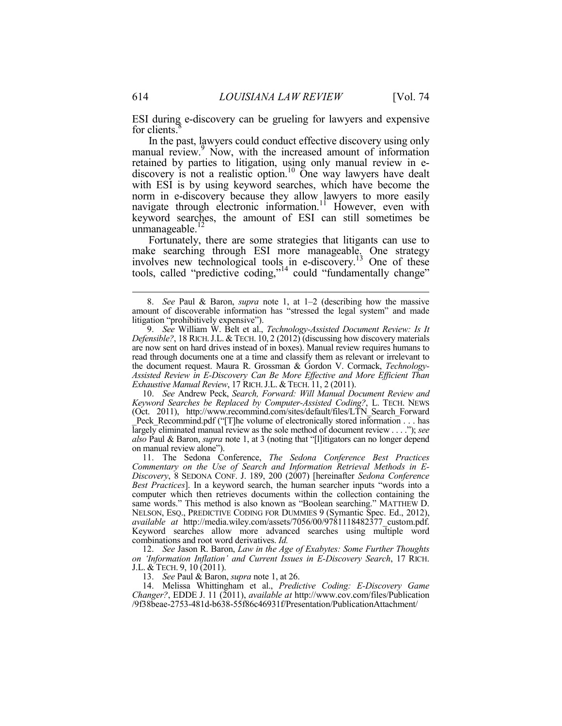ESI during e-discovery can be grueling for lawyers and expensive for clients.

In the past, lawyers could conduct effective discovery using only manual review.<sup>9</sup> Now, with the increased amount of information retained by parties to litigation, using only manual review in ediscovery is not a realistic option.<sup>10</sup> One way lawyers have dealt with ESI is by using keyword searches, which have become the norm in e-discovery because they allow lawyers to more easily navigate through electronic information.<sup>11</sup> However, even with keyword searches, the amount of ESI can still sometimes be unmanageable. $^{12}$ 

Fortunately, there are some strategies that litigants can use to make searching through ESI more manageable. One strategy involves new technological tools in e-discovery.<sup>13</sup> One of these tools, called "predictive coding,"14 could "fundamentally change"

 10. *See* Andrew Peck, *Search, Forward: Will Manual Document Review and Keyword Searches be Replaced by Computer-Assisted Coding?*, L. TECH. NEWS (Oct. 2011), http://www.recommind.com/sites/default/files/LTN\_Search\_Forward Peck\_Recommind.pdf ("[T]he volume of electronically stored information . . . has largely eliminated manual review as the sole method of document review . . . ."); *see also* Paul & Baron, *supra* note 1, at 3 (noting that "[l]itigators can no longer depend on manual review alone").

 11. The Sedona Conference, *The Sedona Conference Best Practices Commentary on the Use of Search and Information Retrieval Methods in E-Discovery*, 8 SEDONA CONF. J. 189, 200 (2007) [hereinafter *Sedona Conference Best Practices*]. In a keyword search, the human searcher inputs "words into a computer which then retrieves documents within the collection containing the same words." This method is also known as "Boolean searching." MATTHEW D. NELSON, ESQ., PREDICTIVE CODING FOR DUMMIES 9 (Symantic Spec. Ed., 2012), *available at* http://media.wiley.com/assets/7056/00/9781118482377\_custom.pdf. Keyword searches allow more advanced searches using multiple word combinations and root word derivatives. *Id.*

 12. *See* Jason R. Baron, *Law in the Age of Exabytes: Some Further Thoughts on 'Information Inflation' and Current Issues in E-Discovery Search*, 17 RICH. J.L. & TECH. 9, 10 (2011).

13. *See* Paul & Baron, *supra* note 1, at 26.

 14. Melissa Whittingham et al., *Predictive Coding: E-Discovery Game Changer?*, EDDE J. 11 (2011), *available at* http://www.cov.com/files/Publication /9f38beae-2753-481d-b638-55f86c46931f/Presentation/PublicationAttachment/

 <sup>8.</sup> *See* Paul & Baron, *supra* note 1, at 1–2 (describing how the massive amount of discoverable information has "stressed the legal system" and made litigation "prohibitively expensive").

 <sup>9.</sup> *See* William W. Belt et al., *Technology-Assisted Document Review: Is It Defensible?*, 18 RICH.J.L. & TECH. 10, 2 (2012) (discussing how discovery materials are now sent on hard drives instead of in boxes). Manual review requires humans to read through documents one at a time and classify them as relevant or irrelevant to the document request. Maura R. Grossman & Gordon V. Cormack, *Technology-Assisted Review in E-Discovery Can Be More Effective and More Efficient Than Exhaustive Manual Review*, 17 RICH.J.L. &TECH. 11, 2 (2011).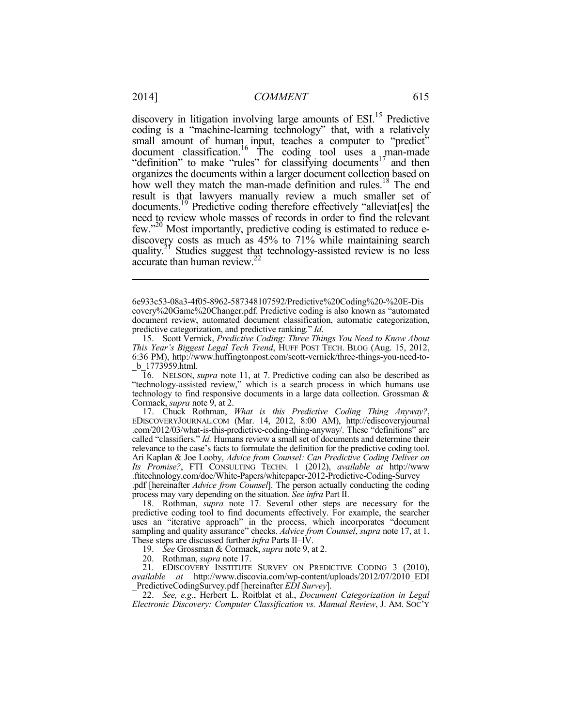discovery in litigation involving large amounts of ESI.<sup>15</sup> Predictive coding is a "machine-learning technology" that, with a relatively small amount of human input, teaches a computer to "predict" document classification.<sup>16</sup> The coding tool uses a man-made "definition" to make "rules" for classifying documents<sup>17</sup> and then organizes the documents within a larger document collection based on how well they match the man-made definition and rules.<sup>18</sup> The end result is that lawyers manually review a much smaller set of documents.19 Predictive coding therefore effectively "alleviat[es] the need to review whole masses of records in order to find the relevant few."20 Most importantly, predictive coding is estimated to reduce ediscovery costs as much as 45% to 71% while maintaining search quality.<sup>21</sup> Studies suggest that technology-assisted review is no less accurate than human review.<sup>2</sup>

19. *See* Grossman & Cormack, *supra* note 9, at 2.

<sup>6</sup>e933c53-08a3-4f05-8962-587348107592/Predictive%20Coding%20-%20E-Dis covery%20Game%20Changer.pdf. Predictive coding is also known as "automated document review, automated document classification, automatic categorization, predictive categorization, and predictive ranking." *Id*.

 <sup>15.</sup> Scott Vernick, *Predictive Coding: Three Things You Need to Know About This Year's Biggest Legal Tech Trend*, HUFF POST TECH. BLOG (Aug. 15, 2012, 6:36 PM), http://www.huffingtonpost.com/scott-vernick/three-things-you-need-to- \_b\_1773959.html.

 <sup>16.</sup> NELSON, *supra* note 11, at 7. Predictive coding can also be described as "technology-assisted review," which is a search process in which humans use technology to find responsive documents in a large data collection. Grossman & Cormack, *supra* note 9, at 2.

 <sup>17.</sup> Chuck Rothman, *What is this Predictive Coding Thing Anyway?*, EDISCOVERYJOURNAL.COM (Mar. 14, 2012, 8:00 AM), http://ediscoveryjournal .com/2012/03/what-is-this-predictive-coding-thing-anyway/. These "definitions" are called "classifiers." *Id.* Humans review a small set of documents and determine their relevance to the case's facts to formulate the definition for the predictive coding tool. Ari Kaplan & Joe Looby, *Advice from Counsel: Can Predictive Coding Deliver on Its Promise?*, FTI CONSULTING TECHN. 1 (2012), *available at* http://www .ftitechnology.com/doc/White-Papers/whitepaper-2012-Predictive-Coding-Survey

<sup>.</sup>pdf [hereinafter *Advice from Counsel*]. The person actually conducting the coding process may vary depending on the situation. *See infra* Part II.

 <sup>18.</sup> Rothman, *supra* note 17. Several other steps are necessary for the predictive coding tool to find documents effectively. For example, the searcher uses an "iterative approach" in the process, which incorporates "document sampling and quality assurance" checks. *Advice from Counsel*, *supra* note 17, at 1. These steps are discussed further *infra* Parts II–IV.

 <sup>20.</sup> Rothman, *supra* note 17.

 <sup>21.</sup> EDISCOVERY INSTITUTE SURVEY ON PREDICTIVE CODING 3 (2010), *available at* http://www.discovia.com/wp-content/uploads/2012/07/2010\_EDI \_PredictiveCodingSurvey.pdf [hereinafter *EDI Survey*].

 <sup>22.</sup> *See, e.g.*, Herbert L. Roitblat et al., *Document Categorization in Legal Electronic Discovery: Computer Classification vs. Manual Review*, J. AM. SOC'Y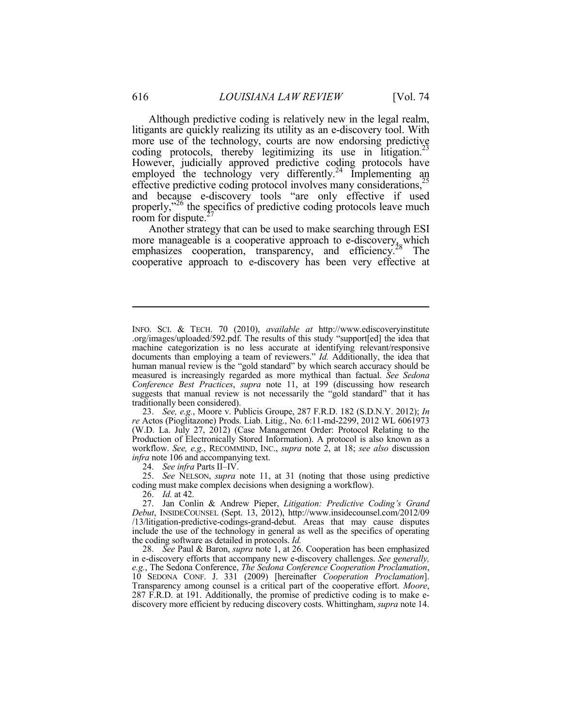Although predictive coding is relatively new in the legal realm, litigants are quickly realizing its utility as an e-discovery tool. With more use of the technology, courts are now endorsing predictive coding protocols, thereby legitimizing its use in litigation.<sup>23</sup> However, judicially approved predictive coding protocols have employed the technology very differently.<sup>24</sup> Implementing an effective predictive coding protocol involves many considerations,<sup>25</sup> and because e-discovery tools "are only effective if used properly,"<sup>26</sup> the specifics of predictive coding protocols leave much room for dispute.<sup>27</sup><br>Another strategy that can be used to make searching through ESI

more manageable is a cooperative approach to e-discovery, which emphasizes cooperation, transparency, and efficiency.<sup>28</sup> The cooperative approach to e-discovery has been very effective at

 23. *See, e.g.*, Moore v. Publicis Groupe, 287 F.R.D. 182 (S.D.N.Y. 2012); *In re* Actos (Pioglitazone) Prods. Liab. Litig., No. 6:11-md-2299, 2012 WL 6061973 (W.D. La. July 27, 2012) (Case Management Order: Protocol Relating to the Production of Electronically Stored Information). A protocol is also known as a workflow. *See, e.g.*, RECOMMIND, INC., *supra* note 2, at 18; *see also* discussion *infra* note 106 and accompanying text.

24. *See infra* Parts II–IV.

 25. *See* NELSON, *supra* note 11, at 31 (noting that those using predictive coding must make complex decisions when designing a workflow).

26. *Id.* at 42.

 27. Jan Conlin & Andrew Pieper, *Litigation: Predictive Coding's Grand Debut*, INSIDECOUNSEL (Sept. 13, 2012), http://www.insidecounsel.com/2012/09 /13/litigation-predictive-codings-grand-debut. Areas that may cause disputes include the use of the technology in general as well as the specifics of operating the coding software as detailed in protocols. *Id.*

 28. *See* Paul & Baron, *supra* note 1, at 26. Cooperation has been emphasized in e-discovery efforts that accompany new e-discovery challenges. *See generally, e.g.*, The Sedona Conference, *The Sedona Conference Cooperation Proclamation*, 10 SEDONA CONF. J. 331 (2009) [hereinafter *Cooperation Proclamation*]. Transparency among counsel is a critical part of the cooperative effort. *Moore*, 287 F.R.D. at 191. Additionally, the promise of predictive coding is to make ediscovery more efficient by reducing discovery costs. Whittingham, *supra* note 14.

INFO. SCI. & TECH. 70 (2010), *available at* http://www.ediscoveryinstitute .org/images/uploaded/592.pdf. The results of this study "support[ed] the idea that machine categorization is no less accurate at identifying relevant/responsive documents than employing a team of reviewers." *Id.* Additionally, the idea that human manual review is the "gold standard" by which search accuracy should be measured is increasingly regarded as more mythical than factual. *See Sedona Conference Best Practices*, *supra* note 11, at 199 (discussing how research suggests that manual review is not necessarily the "gold standard" that it has traditionally been considered).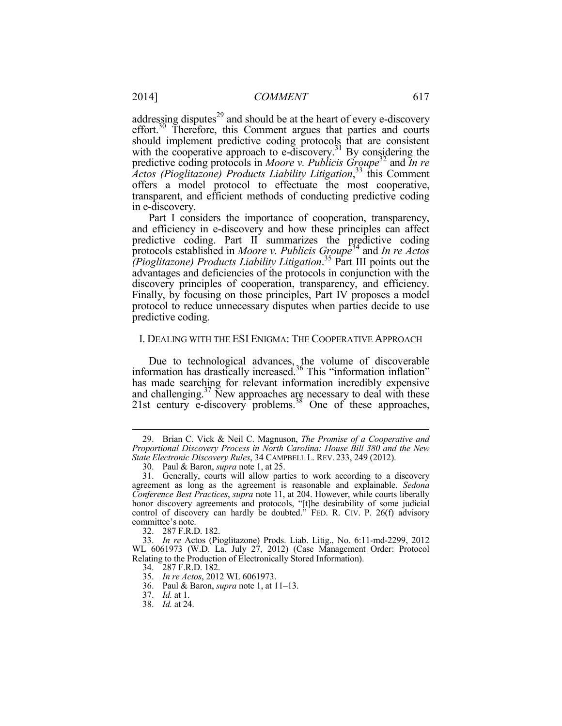addressing disputes $^{29}$  and should be at the heart of every e-discovery effort.<sup>30</sup> Therefore, this Comment argues that parties and courts should implement predictive coding protocols that are consistent with the cooperative approach to e-discovery.<sup>31</sup> By considering the predictive coding protocols in *Moore v. Publicis Groupe*<sup>32</sup> and *In re Actos (Pioglitazone) Products Liability Litigation*, 33 this Comment offers a model protocol to effectuate the most cooperative, transparent, and efficient methods of conducting predictive coding in e-discovery.

Part I considers the importance of cooperation, transparency, and efficiency in e-discovery and how these principles can affect predictive coding. Part II summarizes the predictive coding protocols established in *Moore v. Publicis Groupe*<sup>34</sup> and *In re Actos (Pioglitazone) Products Liability Litigation*. <sup>35</sup> Part III points out the advantages and deficiencies of the protocols in conjunction with the discovery principles of cooperation, transparency, and efficiency. Finally, by focusing on those principles, Part IV proposes a model protocol to reduce unnecessary disputes when parties decide to use predictive coding.

#### I. DEALING WITH THE ESI ENIGMA: THE COOPERATIVE APPROACH

Due to technological advances, the volume of discoverable information has drastically increased.<sup>36</sup> This "information inflation" has made searching for relevant information incredibly expensive and challenging.<sup>37</sup> New approaches are necessary to deal with these  $21$ st century e-discovery problems.<sup>38</sup> One of these approaches,

 <sup>29.</sup> Brian C. Vick & Neil C. Magnuson, *The Promise of a Cooperative and Proportional Discovery Process in North Carolina: House Bill 380 and the New State Electronic Discovery Rules*, 34 CAMPBELL L. REV. 233, 249 (2012).

 <sup>30.</sup> Paul & Baron, *supra* note 1, at 25.

 <sup>31.</sup> Generally, courts will allow parties to work according to a discovery agreement as long as the agreement is reasonable and explainable. *Sedona Conference Best Practices*, *supra* note 11, at 204. However, while courts liberally honor discovery agreements and protocols, "[t]he desirability of some judicial control of discovery can hardly be doubted." FED. R. CIV. P. 26(f) advisory committee's note.

 <sup>32. 287</sup> F.R.D. 182.

 <sup>33.</sup> *In re* Actos (Pioglitazone) Prods. Liab. Litig., No. 6:11-md-2299, 2012 WL 6061973 (W.D. La. July 27, 2012) (Case Management Order: Protocol Relating to the Production of Electronically Stored Information).

 <sup>34. 287</sup> F.R.D. 182.

 <sup>35.</sup> *In re Actos*, 2012 WL 6061973.

 <sup>36.</sup> Paul & Baron, *supra* note 1, at 11–13.

 <sup>37.</sup> *Id.* at 1.

 <sup>38.</sup> *Id.* at 24.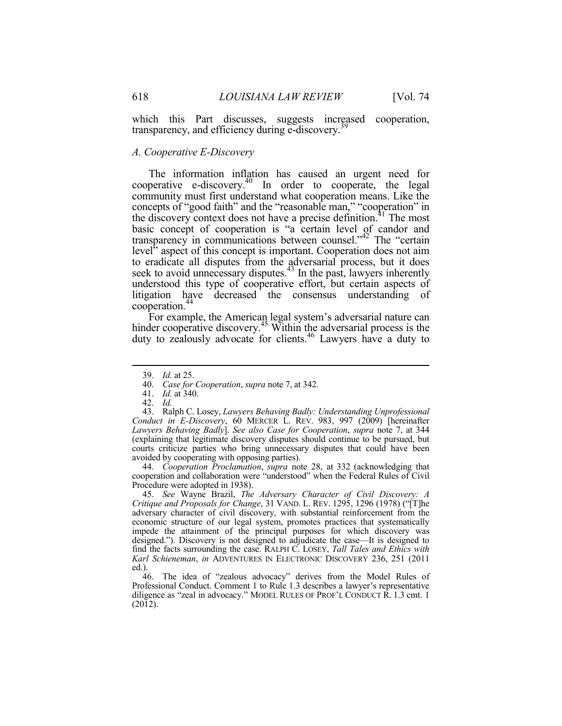which this Part discusses, suggests increased cooperation, transparency, and efficiency during e-discovery.<sup>39</sup>

#### *A. Cooperative E-Discovery*

The information inflation has caused an urgent need for cooperative e-discovery.<sup>40</sup> In order to cooperate, the legal community must first understand what cooperation means. Like the concepts of "good faith" and the "reasonable man," "cooperation" in the discovery context does not have a precise definition.<sup>41</sup> The most basic concept of cooperation is "a certain level of candor and transparency in communications between counsel."42 The "certain level" aspect of this concept is important. Cooperation does not aim to eradicate all disputes from the adversarial process, but it does seek to avoid unnecessary disputes.<sup>43</sup> In the past, lawyers inherently understood this type of cooperative effort, but certain aspects of litigation have decreased the consensus understanding of cooperation.<sup>44</sup>

For example, the American legal system's adversarial nature can hinder cooperative discovery.<sup>45</sup> Within the adversarial process is the duty to zealously advocate for clients.<sup>46</sup> Lawyers have a duty to

41. *Id.* at 340.

1

 43. Ralph C. Losey, *Lawyers Behaving Badly: Understanding Unprofessional Conduct in E-Discovery*, 60 MERCER L. REV. 983, 997 (2009) [hereinafter *Lawyers Behaving Badly*]. *See also Case for Cooperation*, *supra* note 7, at 344 (explaining that legitimate discovery disputes should continue to be pursued, but courts criticize parties who bring unnecessary disputes that could have been avoided by cooperating with opposing parties).

 44. *Cooperation Proclamation*, *supra* note 28, at 332 (acknowledging that cooperation and collaboration were "understood" when the Federal Rules of Civil Procedure were adopted in 1938).

 45. *See* Wayne Brazil, *The Adversary Character of Civil Discovery: A Critique and Proposals for Change*, 31 VAND. L. REV. 1295, 1296 (1978) ("[T]he adversary character of civil discovery, with substantial reinforcement from the economic structure of our legal system, promotes practices that systematically impede the attainment of the principal purposes for which discovery was designed."). Discovery is not designed to adjudicate the case—It is designed to find the facts surrounding the case. RALPH C. LOSEY, *Tall Tales and Ethics with Karl Schieneman*, *in* ADVENTURES IN ELECTRONIC DISCOVERY 236, 251 (2011 ed.).

 46. The idea of "zealous advocacy" derives from the Model Rules of Professional Conduct. Comment 1 to Rule 1.3 describes a lawyer's representative diligence as "zeal in advocacy." MODEL RULES OF PROF'L CONDUCT R. 1.3 cmt. 1 (2012).

 <sup>39.</sup> *Id.* at 25.

 <sup>40.</sup> *Case for Cooperation*, *supra* note 7, at 342.

 <sup>42.</sup> *Id.*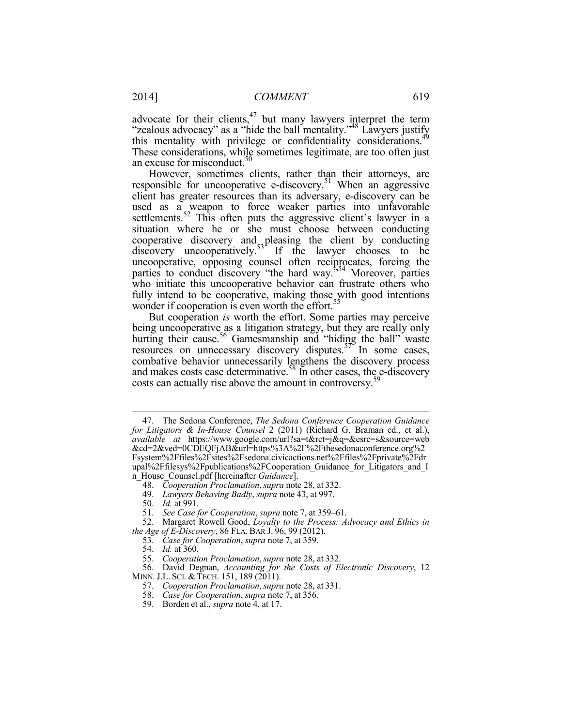advocate for their clients, $47$  but many lawyers interpret the term "zealous advocacy" as a "hide the ball mentality."<sup>48</sup> Lawyers justify this mentality with privilege or confidentiality considerations.<sup>49</sup> These considerations, while sometimes legitimate, are too often just an excuse for misconduct. $50$ 

However, sometimes clients, rather than their attorneys, are responsible for uncooperative e-discovery.<sup>51</sup> When an aggressive client has greater resources than its adversary, e-discovery can be used as a weapon to force weaker parties into unfavorable settlements.<sup>52</sup> This often puts the aggressive client's lawyer in a situation where he or she must choose between conducting cooperative discovery and pleasing the client by conducting discovery uncooperatively.<sup>53</sup> If the lawyer chooses to be uncooperative, opposing counsel often reciprocates, forcing the parties to conduct discovery "the hard way."54 Moreover, parties who initiate this uncooperative behavior can frustrate others who fully intend to be cooperative, making those with good intentions wonder if cooperation is even worth the effort.<sup>55</sup>

But cooperation *is* worth the effort. Some parties may perceive being uncooperative as a litigation strategy, but they are really only hurting their cause.<sup>56</sup> Gamesmanship and "hiding the ball" waste resources on unnecessary discovery disputes.<sup>57</sup> In some cases, combative behavior unnecessarily lengthens the discovery process and makes costs case determinative.<sup>58</sup> In other cases, the e-discovery costs can actually rise above the amount in controversy.<sup>5</sup>

<u>.</u>

 <sup>47.</sup> The Sedona Conference, *The Sedona Conference Cooperation Guidance for Litigators & In-House Counsel* 2 (2011) (Richard G. Braman ed., et al.), *available at* https://www.google.com/url?sa=t&rct=j&q=&esrc=s&source=web &cd=2&ved=0CDEQFjAB&url=https%3A%2F%2Fthesedonaconference.org%2 Fsystem%2Ffiles%2Fsites%2Fsedona.civicactions.net%2Ffiles%2Fprivate%2Fdr upal%2Ffilesys%2Fpublications%2FCooperation Guidance for Litigators and I n\_House\_Counsel.pdf [hereinafter *Guidance*].

 <sup>48.</sup> *Cooperation Proclamation*,*supra* note 28, at 332.

 <sup>49.</sup> *Lawyers Behaving Badly*, *supra* note 43, at 997.

 <sup>50.</sup> *Id.* at 991.

 <sup>51.</sup> *See Case for Cooperation*, *supra* note 7, at 359–61.

 <sup>52.</sup> Margaret Rowell Good, *Loyalty to the Process: Advocacy and Ethics in the Age of E-Discovery*, 86 FLA. BAR J. 96, 99 (2012).

 <sup>53.</sup> *Case for Cooperation*, *supra* note 7, at 359.

 <sup>54.</sup> *Id.* at 360.

 <sup>55.</sup> *Cooperation Proclamation*,*supra* note 28, at 332.

 <sup>56.</sup> David Degnan, *Accounting for the Costs of Electronic Discovery*, 12 MINN. J.L. SCI. & TECH. 151, 189 (2011).

 <sup>57.</sup> *Cooperation Proclamation*,*supra* note 28, at 331.

 <sup>58.</sup> *Case for Cooperation*, *supra* note 7, at 356.

 <sup>59.</sup> Borden et al., *supra* note 4, at 17.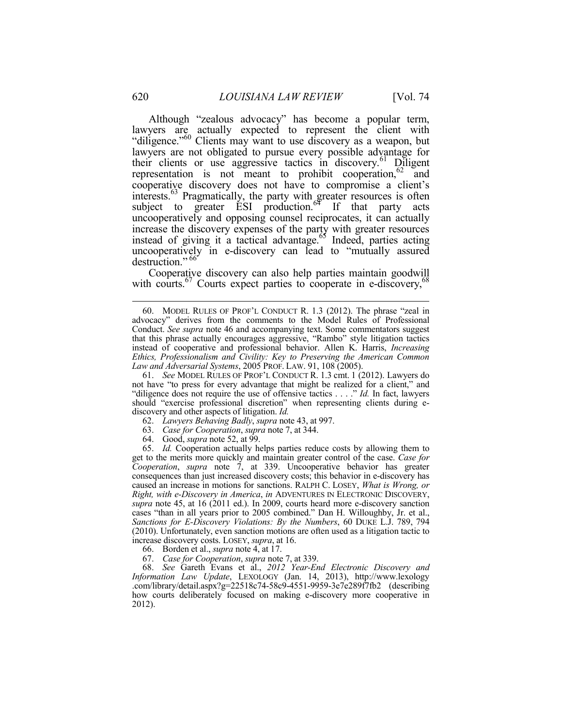Although "zealous advocacy" has become a popular term, lawyers are actually expected to represent the client with "diligence."<sup>60</sup> Clients may want to use discovery as a weapon, but lawyers are not obligated to pursue every possible advantage for their clients or use aggressive tactics in discovery.<sup>61</sup> Diligent representation is not meant to prohibit cooperation,  $62$  and cooperative discovery does not have to compromise a client's interests.<sup>63</sup> Pragmatically, the party with greater resources is often subject to greater  $\tilde{E}$ SI production.<sup>64</sup> If that party acts uncooperatively and opposing counsel reciprocates, it can actually increase the discovery expenses of the party with greater resources instead of giving it a tactical advantage.<sup>65</sup> Indeed, parties acting uncooperatively in e-discovery can lead to "mutually assured destruction." 66

Cooperative discovery can also help parties maintain goodwill with courts.<sup>67</sup> Courts expect parties to cooperate in e-discovery,<sup>68</sup>

 61. *See* MODEL RULES OF PROF'L CONDUCT R. 1.3 cmt. 1 (2012). Lawyers do not have "to press for every advantage that might be realized for a client," and "diligence does not require the use of offensive tactics . . . ." *Id.* In fact, lawyers should "exercise professional discretion" when representing clients during ediscovery and other aspects of litigation. *Id.*

- 62. *Lawyers Behaving Badly*, *supra* note 43, at 997.
- 63. *Case for Cooperation*, *supra* note 7, at 344.
- 64. Good, *supra* note 52, at 99.

 65. *Id.* Cooperation actually helps parties reduce costs by allowing them to get to the merits more quickly and maintain greater control of the case. *Case for Cooperation*, *supra* note 7, at 339. Uncooperative behavior has greater consequences than just increased discovery costs; this behavior in e-discovery has caused an increase in motions for sanctions. RALPH C. LOSEY, *What is Wrong, or Right, with e-Discovery in America*, *in* ADVENTURES IN ELECTRONIC DISCOVERY, *supra* note 45, at 16 (2011 ed.). In 2009, courts heard more e-discovery sanction cases "than in all years prior to 2005 combined." Dan H. Willoughby, Jr. et al., *Sanctions for E-Discovery Violations: By the Numbers*, 60 DUKE L.J. 789, 794 (2010). Unfortunately, even sanction motions are often used as a litigation tactic to increase discovery costs. LOSEY, *supra*, at 16.

66. Borden et al., *supra* note 4, at 17.

67. *Case for Cooperation*, *supra* note 7, at 339.

 68. *See* Gareth Evans et al., *2012 Year-End Electronic Discovery and Information Law Update*, LEXOLOGY (Jan. 14, 2013), http://www.lexology .com/library/detail.aspx?g=22518c74-58c9-4551-9959-3e7e289f7fb2 (describing how courts deliberately focused on making e-discovery more cooperative in 2012).

<u>.</u>

 <sup>60.</sup> MODEL RULES OF PROF'L CONDUCT R. 1.3 (2012). The phrase "zeal in advocacy" derives from the comments to the Model Rules of Professional Conduct. *See supra* note 46 and accompanying text. Some commentators suggest that this phrase actually encourages aggressive, "Rambo" style litigation tactics instead of cooperative and professional behavior. Allen K. Harris, *Increasing Ethics, Professionalism and Civility: Key to Preserving the American Common Law and Adversarial Systems*, 2005 PROF. LAW. 91, 108 (2005).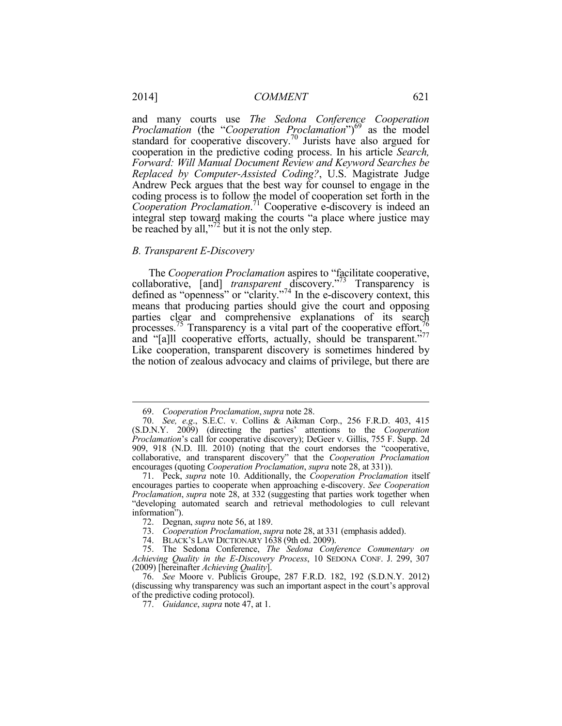and many courts use *The Sedona Conference Cooperation Proclamation* (the "*Cooperation Proclamation*")<sup>69</sup> as the model standard for cooperative discovery.<sup>70</sup> Jurists have also argued for cooperation in the predictive coding process. In his article *Search, Forward: Will Manual Document Review and Keyword Searches be Replaced by Computer-Assisted Coding?*, U.S. Magistrate Judge Andrew Peck argues that the best way for counsel to engage in the coding process is to follow the model of cooperation set forth in the *Cooperation Proclamation*. 71 Cooperative e-discovery is indeed an integral step toward making the courts "a place where justice may be reached by all," $\frac{7}{2}$  but it is not the only step.

#### *B. Transparent E-Discovery*

1

The *Cooperation Proclamation* aspires to "facilitate cooperative, collaborative, [and] *transparent* discovery."<sup>73</sup> Transparency is defined as "openness" or "clarity."74 In the e-discovery context, this means that producing parties should give the court and opposing parties clear and comprehensive explanations of its search processes.<sup>75</sup> Transparency is a vital part of the cooperative effort,  $76$ and "[a]ll cooperative efforts, actually, should be transparent."77 Like cooperation, transparent discovery is sometimes hindered by the notion of zealous advocacy and claims of privilege, but there are

 <sup>69.</sup> *Cooperation Proclamation*,*supra* note 28.

 <sup>70.</sup> *See, e.g*., S.E.C. v. Collins & Aikman Corp., 256 F.R.D. 403, 415 (S.D.N.Y. 2009) (directing the parties' attentions to the *Cooperation Proclamation*'s call for cooperative discovery); DeGeer v. Gillis, 755 F. Supp. 2d 909, 918 (N.D. Ill. 2010) (noting that the court endorses the "cooperative, collaborative, and transparent discovery" that the *Cooperation Proclamation* encourages (quoting *Cooperation Proclamation*, *supra* note 28, at 331)).

 <sup>71.</sup> Peck, *supra* note 10. Additionally, the *Cooperation Proclamation* itself encourages parties to cooperate when approaching e-discovery. *See Cooperation Proclamation*, *supra* note 28, at 332 (suggesting that parties work together when "developing automated search and retrieval methodologies to cull relevant information").

 <sup>72.</sup> Degnan, *supra* note 56, at 189.

 <sup>73.</sup> *Cooperation Proclamation*,*supra* note 28, at 331 (emphasis added).

 <sup>74.</sup> BLACK'S LAW DICTIONARY 1638 (9th ed. 2009).

 <sup>75.</sup> The Sedona Conference, *The Sedona Conference Commentary on Achieving Quality in the E-Discovery Process*, 10 SEDONA CONF. J. 299, 307 (2009) [hereinafter *Achieving Quality*].

 <sup>76.</sup> *See* Moore v. Publicis Groupe, 287 F.R.D. 182, 192 (S.D.N.Y. 2012) (discussing why transparency was such an important aspect in the court's approval of the predictive coding protocol).

 <sup>77.</sup> *Guidance*, *supra* note 47, at 1.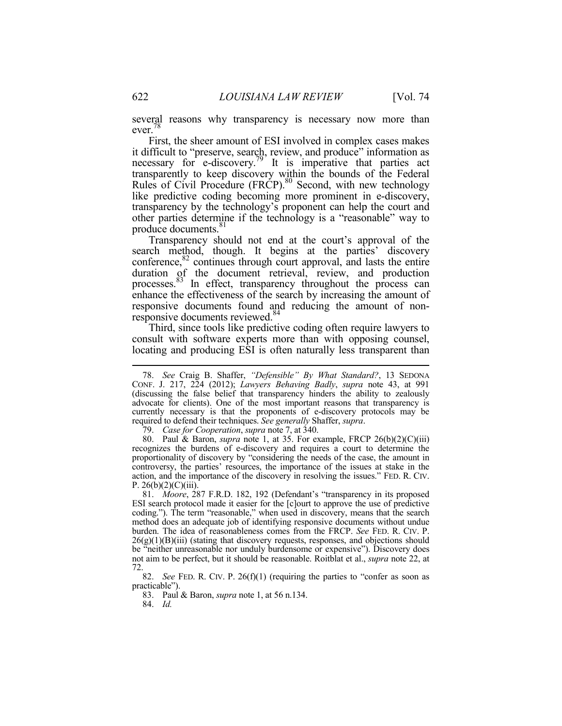several reasons why transparency is necessary now more than ever.78

First, the sheer amount of ESI involved in complex cases makes it difficult to "preserve, search, review, and produce" information as necessary for e-discovery.<sup>79</sup> It is imperative that parties act transparently to keep discovery within the bounds of the Federal Rules of Civil Procedure (FRCP).<sup>80</sup> Second, with new technology like predictive coding becoming more prominent in e-discovery, transparency by the technology's proponent can help the court and other parties determine if the technology is a "reasonable" way to produce documents.<sup>81</sup>

Transparency should not end at the court's approval of the search method, though. It begins at the parties' discovery conference, $82$  continues through court approval, and lasts the entire duration of the document retrieval, review, and production processes.83 In effect, transparency throughout the process can enhance the effectiveness of the search by increasing the amount of responsive documents found and reducing the amount of nonresponsive documents reviewed.<sup>84</sup>

Third, since tools like predictive coding often require lawyers to consult with software experts more than with opposing counsel, locating and producing ESI is often naturally less transparent than

 <sup>78.</sup> *See* Craig B. Shaffer, *"Defensible" By What Standard?*, 13 SEDONA CONF. J. 217, 224 (2012); *Lawyers Behaving Badly*, *supra* note 43, at 991 (discussing the false belief that transparency hinders the ability to zealously advocate for clients). One of the most important reasons that transparency is currently necessary is that the proponents of e-discovery protocols may be required to defend their techniques. *See generally* Shaffer, *supra*. 79. *Case for Cooperation*, *supra* note 7, at 340.

 <sup>80.</sup> Paul & Baron, *supra* note 1, at 35. For example, FRCP 26(b)(2)(C)(iii) recognizes the burdens of e-discovery and requires a court to determine the proportionality of discovery by "considering the needs of the case, the amount in controversy, the parties' resources, the importance of the issues at stake in the action, and the importance of the discovery in resolving the issues." FED. R. CIV.  $P. 26(b)(2)(C)(iii)$ .

 <sup>81.</sup> *Moore*, 287 F.R.D. 182, 192 (Defendant's "transparency in its proposed ESI search protocol made it easier for the [c]ourt to approve the use of predictive coding."). The term "reasonable," when used in discovery, means that the search method does an adequate job of identifying responsive documents without undue burden. The idea of reasonableness comes from the FRCP. *See* FED. R. CIV. P.  $26(g)(1)(B)(iii)$  (stating that discovery requests, responses, and objections should be "neither unreasonable nor unduly burdensome or expensive"). Discovery does not aim to be perfect, but it should be reasonable. Roitblat et al., *supra* note 22, at 72.

 <sup>82.</sup> *See* FED. R. CIV. P. 26(f)(1) (requiring the parties to "confer as soon as practicable").

 <sup>83.</sup> Paul & Baron, *supra* note 1, at 56 n.134.

 <sup>84.</sup> *Id.*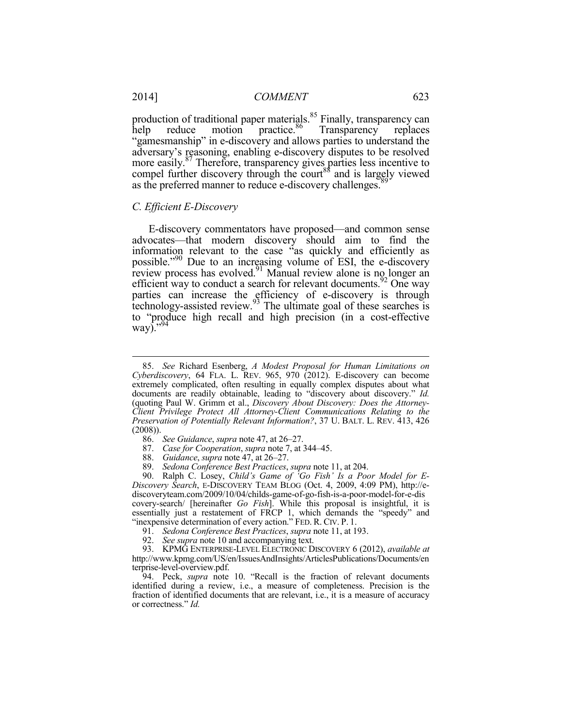production of traditional paper materials.<sup>85</sup> Finally, transparency can help reduce motion practice.<sup>86</sup> Transparency replaces "gamesmanship" in e-discovery and allows parties to understand the adversary's reasoning, enabling e-discovery disputes to be resolved more easily.<sup>87</sup> Therefore, transparency gives parties less incentive to compel further discovery through the court<sup>88</sup> and is largely viewed as the preferred manner to reduce e-discovery challenges.<sup>8</sup>

#### *C. Efficient E-Discovery*

E-discovery commentators have proposed—and common sense advocates—that modern discovery should aim to find the information relevant to the case "as quickly and efficiently as possible."<sup>90</sup> Due to an increasing volume of ESI, the e-discovery review process has evolved.<sup>91</sup> Manual review alone is no longer an efficient way to conduct a search for relevant documents.<sup>92</sup> One way parties can increase the efficiency of e-discovery is through technology-assisted review. $93$  The ultimate goal of these searches is to "produce high recall and high precision (in a cost-effective way)." $94$ 

- 87. *Case for Cooperation*, *supra* note 7, at 344–45.
- 88. *Guidance*, *supra* note 47, at 26–27.
- 89. *Sedona Conference Best Practices*, *supra* note 11, at 204.

 90. Ralph C. Losey, *Child's Game of 'Go Fish' Is a Poor Model for E-Discovery Search*, E-DISCOVERY TEAM BLOG (Oct. 4, 2009, 4:09 PM), http://ediscoveryteam.com/2009/10/04/childs-game-of-go-fish-is-a-poor-model-for-e-dis covery-search/ [hereinafter *Go Fish*]. While this proposal is insightful, it is essentially just a restatement of FRCP 1, which demands the "speedy" and "inexpensive determination of every action." FED. R. CIV. P. 1.

91. *Sedona Conference Best Practices*, *supra* note 11, at 193.

92. *See supra* note 10 and accompanying text.

 93. KPMG ENTERPRISE-LEVEL ELECTRONIC DISCOVERY 6 (2012), *available at* http://www.kpmg.com/US/en/IssuesAndInsights/ArticlesPublications/Documents/en terprise-level-overview.pdf.

 94. Peck, *supra* note 10. "Recall is the fraction of relevant documents identified during a review, i.e., a measure of completeness. Precision is the fraction of identified documents that are relevant, i.e., it is a measure of accuracy or correctness." *Id.*

<u>.</u>

 <sup>85.</sup> *See* Richard Esenberg, *A Modest Proposal for Human Limitations on Cyberdiscovery*, 64 FLA. L. REV. 965, 970 (2012). E-discovery can become extremely complicated, often resulting in equally complex disputes about what documents are readily obtainable, leading to "discovery about discovery." *Id.* (quoting Paul W. Grimm et al., *Discovery About Discovery: Does the Attorney-Client Privilege Protect All Attorney-Client Communications Relating to the Preservation of Potentially Relevant Information?*, 37 U. BALT. L. REV. 413, 426 (2008)).

 <sup>86.</sup> *See Guidance*, *supra* note 47, at 26–27.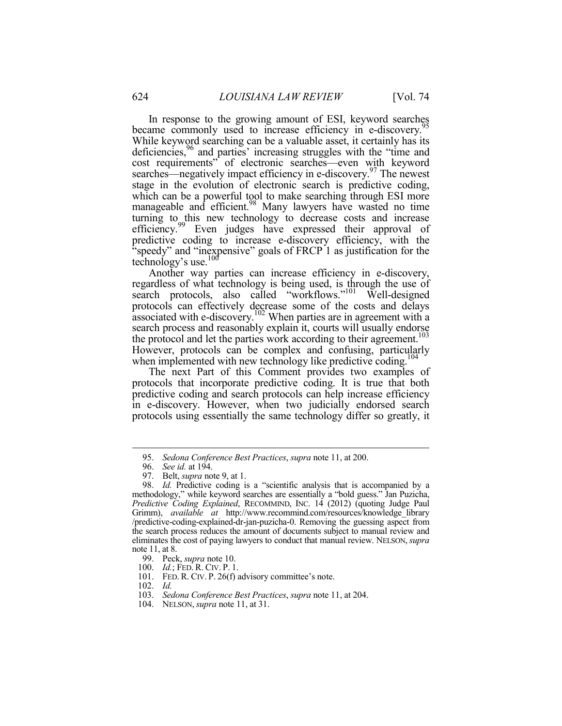In response to the growing amount of ESI, keyword searches became commonly used to increase efficiency in e-discovery.<sup>5</sup> While keyword searching can be a valuable asset, it certainly has its deficiencies,<sup>96</sup> and parties' increasing struggles with the "time and cost requirements" of electronic searches—even with keyword searches—negatively impact efficiency in e-discovery.<sup>97</sup> The newest stage in the evolution of electronic search is predictive coding, which can be a powerful tool to make searching through ESI more manageable and efficient.<sup>98</sup> Many lawyers have wasted no time turning to this new technology to decrease costs and increase efficiency.<sup>99</sup> Even judges have expressed their approval of predictive coding to increase e-discovery efficiency, with the "speedy" and "inexpensive" goals of FRCP 1 as justification for the technology's use. $100$ 

Another way parties can increase efficiency in e-discovery, regardless of what technology is being used, is through the use of search protocols, also called "workflows."<sup>101</sup> Well-designed protocols can effectively decrease some of the costs and delays associated with e-discovery.102 When parties are in agreement with a search process and reasonably explain it, courts will usually endorse the protocol and let the parties work according to their agreement.<sup>103</sup> However, protocols can be complex and confusing, particularly when implemented with new technology like predictive coding.<sup>104</sup>

The next Part of this Comment provides two examples of protocols that incorporate predictive coding. It is true that both predictive coding and search protocols can help increase efficiency in e-discovery. However, when two judicially endorsed search protocols using essentially the same technology differ so greatly, it

 <sup>95.</sup> *Sedona Conference Best Practices*, *supra* note 11, at 200.

 <sup>96.</sup> *See id.* at 194.

 <sup>97.</sup> Belt, *supra* note 9, at 1.

 <sup>98.</sup> *Id.* Predictive coding is a "scientific analysis that is accompanied by a methodology," while keyword searches are essentially a "bold guess." Jan Puzicha, *Predictive Coding Explained*, RECOMMIND, INC. 14 (2012) (quoting Judge Paul Grimm), *available at* http://www.recommind.com/resources/knowledge\_library /predictive-coding-explained-dr-jan-puzicha-0. Removing the guessing aspect from the search process reduces the amount of documents subject to manual review and eliminates the cost of paying lawyers to conduct that manual review. NELSON, *supra* note 11, at 8.

 <sup>99.</sup> Peck, *supra* note 10.

 <sup>100.</sup> *Id.*; FED. R. CIV. P. 1.

 <sup>101.</sup> FED. R. CIV. P. 26(f) advisory committee's note.

 <sup>102.</sup> *Id.*

 <sup>103.</sup> *Sedona Conference Best Practices*, *supra* note 11, at 204.

 <sup>104.</sup> NELSON,*supra* note 11, at 31.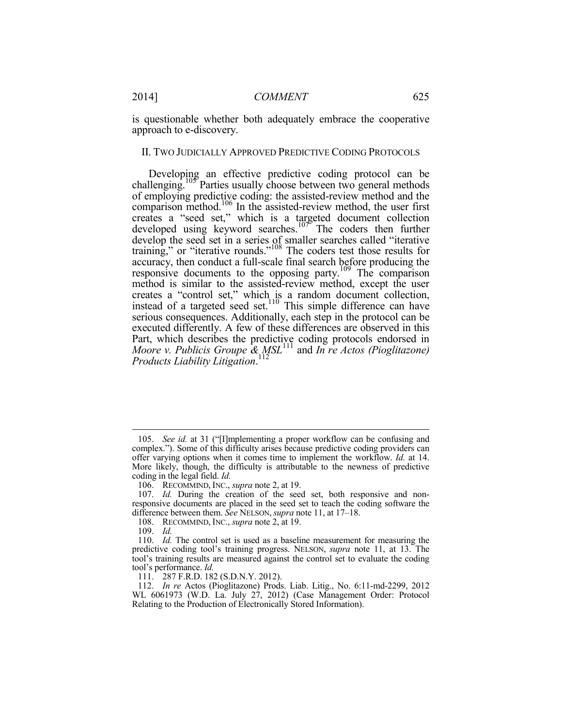is questionable whether both adequately embrace the cooperative approach to e-discovery.

#### II. TWO JUDICIALLY APPROVED PREDICTIVE CODING PROTOCOLS

Developing an effective predictive coding protocol can be challenging.<sup>105</sup> Parties usually choose between two general methods of employing predictive coding: the assisted-review method and the comparison method.106 In the assisted-review method, the user first creates a "seed set," which is a targeted document collection developed using keyword searches.<sup>107</sup> The coders then further develop the seed set in a series of smaller searches called "iterative training," or "iterative rounds."<sup>108</sup> The coders test those results for accuracy, then conduct a full-scale final search before producing the responsive documents to the opposing party.<sup>109</sup> The comparison method is similar to the assisted-review method, except the user creates a "control set," which is a random document collection, instead of a targeted seed set.<sup>110</sup> This simple difference can have serious consequences. Additionally, each step in the protocol can be executed differently. A few of these differences are observed in this Part, which describes the predictive coding protocols endorsed in *Moore v. Publicis Groupe & MSL*111 and *In re Actos (Pioglitazone) Products Liability Litigation*. 112

 <sup>105.</sup> *See id.* at 31 ("[I]mplementing a proper workflow can be confusing and complex."). Some of this difficulty arises because predictive coding providers can offer varying options when it comes time to implement the workflow. *Id.* at 14. More likely, though, the difficulty is attributable to the newness of predictive coding in the legal field. *Id.*

 <sup>106.</sup> RECOMMIND, INC., *supra* note 2, at 19.

 <sup>107.</sup> *Id.* During the creation of the seed set, both responsive and nonresponsive documents are placed in the seed set to teach the coding software the difference between them. *See* NELSON,*supra* note 11, at 17–18.

 <sup>108.</sup> RECOMMIND, INC., *supra* note 2, at 19.

 <sup>109.</sup> *Id.*

 <sup>110.</sup> *Id.* The control set is used as a baseline measurement for measuring the predictive coding tool's training progress. NELSON, *supra* note 11, at 13. The tool's training results are measured against the control set to evaluate the coding tool's performance. *Id.*

 <sup>111. 287</sup> F.R.D. 182 (S.D.N.Y. 2012).

 <sup>112.</sup> *In re* Actos (Pioglitazone) Prods. Liab. Litig., No. 6:11-md-2299, 2012 WL 6061973 (W.D. La. July 27, 2012) (Case Management Order: Protocol Relating to the Production of Electronically Stored Information).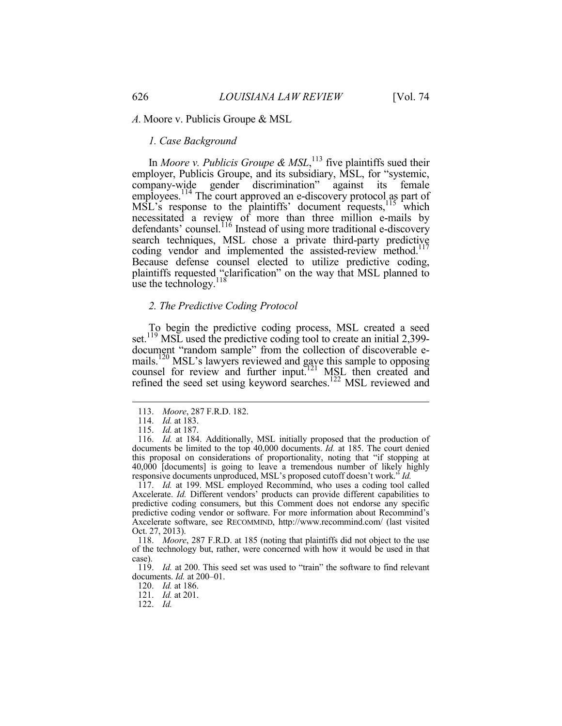#### *A.* Moore v. Publicis Groupe & MSL

#### *1. Case Background*

In *Moore v. Publicis Groupe & MSL*,<sup>113</sup> five plaintiffs sued their employer, Publicis Groupe, and its subsidiary, MSL, for "systemic, company-wide gender discrimination" against its female employees.<sup>114</sup> The court approved an e-discovery protocol as part of  $MSL$ 's response to the plaintiffs' document requests,  $115$  which necessitated a review of more than three million e-mails by defendants' counsel.<sup>116</sup> Instead of using more traditional e-discovery search techniques, MSL chose a private third-party predictive coding vendor and implemented the assisted-review method.<sup>117</sup> Because defense counsel elected to utilize predictive coding, plaintiffs requested "clarification" on the way that MSL planned to use the technology. $118$ 

#### *2. The Predictive Coding Protocol*

To begin the predictive coding process, MSL created a seed set.<sup>119</sup> MSL used the predictive coding tool to create an initial 2,399document "random sample" from the collection of discoverable emails.<sup>120</sup> MSL's lawyers reviewed and gave this sample to opposing counsel for review and further input.<sup>121</sup> MSL then created and refined the seed set using keyword searches.<sup>122</sup> MSL reviewed and

1

 117. *Id.* at 199. MSL employed Recommind, who uses a coding tool called Axcelerate. *Id.* Different vendors' products can provide different capabilities to predictive coding consumers, but this Comment does not endorse any specific predictive coding vendor or software. For more information about Recommind's Axcelerate software, see RECOMMIND, http://www.recommind.com/ (last visited Oct. 27, 2013).

 118. *Moore*, 287 F.R.D. at 185 (noting that plaintiffs did not object to the use of the technology but, rather, were concerned with how it would be used in that case).

 <sup>113.</sup> *Moore*, 287 F.R.D. 182.

 <sup>114.</sup> *Id.* at 183.

 <sup>115.</sup> *Id.* at 187.

 <sup>116.</sup> *Id.* at 184. Additionally, MSL initially proposed that the production of documents be limited to the top 40,000 documents. *Id.* at 185. The court denied this proposal on considerations of proportionality, noting that "if stopping at 40,000 [documents] is going to leave a tremendous number of likely highly responsive documents unproduced, MSL's proposed cutoff doesn't work." *Id.*

 <sup>119.</sup> *Id.* at 200. This seed set was used to "train" the software to find relevant documents. *Id.* at 200–01.

 <sup>120.</sup> *Id.* at 186.

 <sup>121.</sup> *Id.* at 201.

 <sup>122.</sup> *Id.*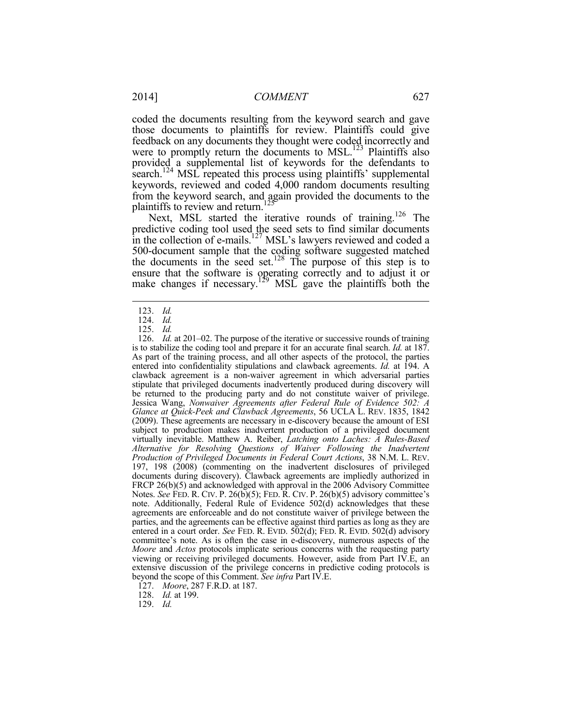coded the documents resulting from the keyword search and gave those documents to plaintiffs for review. Plaintiffs could give feedback on any documents they thought were coded incorrectly and were to promptly return the documents to  $MSL$ <sup>123</sup> Plaintiffs also provided a supplemental list of keywords for the defendants to search.<sup>124</sup> MSL repeated this process using plaintiffs' supplemental keywords, reviewed and coded 4,000 random documents resulting from the keyword search, and again provided the documents to the

plaintiffs to review and return.<sup>125</sup> Next, MSL started the iterative rounds of training.<sup>126</sup> The predictive coding tool used the seed sets to find similar documents in the collection of e-mails.<sup>127</sup> MSL's lawyers reviewed and coded a 500-document sample that the coding software suggested matched the documents in the seed set.<sup>128</sup> The purpose of this step is to ensure that the software is operating correctly and to adjust it or make changes if necessary.<sup>129</sup> MSL gave the plaintiffs both the

<u>.</u>

 126. *Id.* at 201–02. The purpose of the iterative or successive rounds of training is to stabilize the coding tool and prepare it for an accurate final search. *Id.* at 187. As part of the training process, and all other aspects of the protocol, the parties entered into confidentiality stipulations and clawback agreements. *Id.* at 194. A clawback agreement is a non-waiver agreement in which adversarial parties stipulate that privileged documents inadvertently produced during discovery will be returned to the producing party and do not constitute waiver of privilege. Jessica Wang, *Nonwaiver Agreements after Federal Rule of Evidence 502: A Glance at Quick-Peek and Clawback Agreements*, 56 UCLA L. REV. 1835, 1842 (2009). These agreements are necessary in e-discovery because the amount of ESI subject to production makes inadvertent production of a privileged document virtually inevitable. Matthew A. Reiber, *Latching onto Laches: A Rules-Based Alternative for Resolving Questions of Waiver Following the Inadvertent Production of Privileged Documents in Federal Court Actions*, 38 N.M. L. REV. 197, 198 (2008) (commenting on the inadvertent disclosures of privileged documents during discovery). Clawback agreements are impliedly authorized in FRCP 26(b)(5) and acknowledged with approval in the 2006 Advisory Committee Notes. *See* FED. R. CIV. P. 26(b)(5); FED. R. CIV. P. 26(b)(5) advisory committee's note. Additionally, Federal Rule of Evidence 502(d) acknowledges that these agreements are enforceable and do not constitute waiver of privilege between the parties, and the agreements can be effective against third parties as long as they are entered in a court order. *See* FED. R. EVID. 502(d); FED. R. EVID. 502(d) advisory committee's note. As is often the case in e-discovery, numerous aspects of the *Moore* and *Actos* protocols implicate serious concerns with the requesting party viewing or receiving privileged documents. However, aside from Part IV.E, an extensive discussion of the privilege concerns in predictive coding protocols is beyond the scope of this Comment. *See infra* Part IV.E.

127. *Moore*, 287 F.R.D. at 187.

128. *Id.* at 199.

129. *Id.*

 <sup>123.</sup> *Id.*

 <sup>124.</sup> *Id.*

 <sup>125.</sup> *Id.*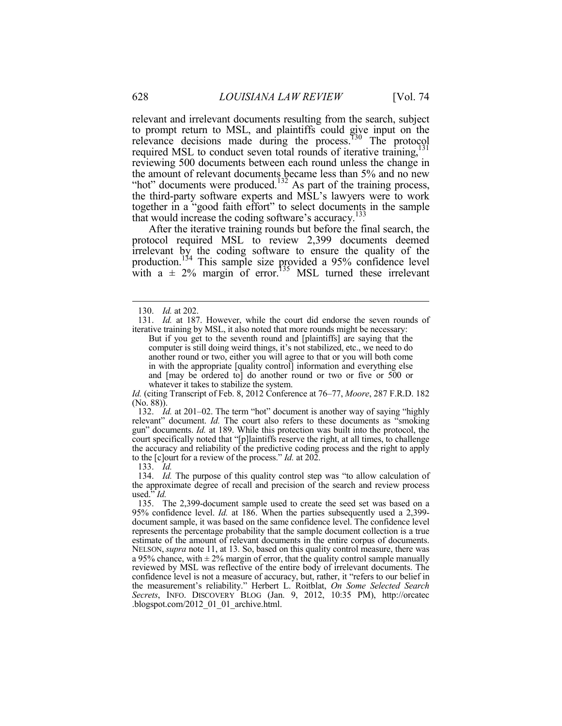relevant and irrelevant documents resulting from the search, subject to prompt return to MSL, and plaintiffs could give input on the relevance decisions made during the process.<sup>130</sup> The protocol required MSL to conduct seven total rounds of iterative training,<sup>131</sup> reviewing 500 documents between each round unless the change in the amount of relevant documents became less than 5% and no new "hot" documents were produced.<sup>132</sup> As part of the training process, the third-party software experts and MSL's lawyers were to work together in a "good faith effort" to select documents in the sample that would increase the coding software's accuracy.<sup>133</sup>

After the iterative training rounds but before the final search, the protocol required MSL to review 2,399 documents deemed irrelevant by the coding software to ensure the quality of the production.134 This sample size provided a 95% confidence level with a  $\pm$  2% margin of error.<sup>135</sup> MSL turned these irrelevant

<u>.</u>

*Id.* (citing Transcript of Feb. 8, 2012 Conference at 76–77, *Moore*, 287 F.R.D. 182 (No. 88)).

 132. *Id.* at 201–02. The term "hot" document is another way of saying "highly relevant" document. *Id.* The court also refers to these documents as "smoking gun" documents. *Id.* at 189. While this protection was built into the protocol, the court specifically noted that "[p]laintiffs reserve the right, at all times, to challenge the accuracy and reliability of the predictive coding process and the right to apply to the [c]ourt for a review of the process." *Id.* at 202.

133. *Id.*

 134. *Id.* The purpose of this quality control step was "to allow calculation of the approximate degree of recall and precision of the search and review process used." *Id.*

 <sup>130.</sup> *Id.* at 202.

 <sup>131.</sup> *Id.* at 187. However, while the court did endorse the seven rounds of iterative training by MSL, it also noted that more rounds might be necessary:

But if you get to the seventh round and [plaintiffs] are saying that the computer is still doing weird things, it's not stabilized, etc., we need to do another round or two, either you will agree to that or you will both come in with the appropriate [quality control] information and everything else and [may be ordered to] do another round or two or five or 500 or whatever it takes to stabilize the system.

 <sup>135.</sup> The 2,399-document sample used to create the seed set was based on a 95% confidence level. *Id.* at 186. When the parties subsequently used a 2,399 document sample, it was based on the same confidence level. The confidence level represents the percentage probability that the sample document collection is a true estimate of the amount of relevant documents in the entire corpus of documents. NELSON, *supra* note 11, at 13. So, based on this quality control measure, there was a 95% chance, with  $\pm$  2% margin of error, that the quality control sample manually reviewed by MSL was reflective of the entire body of irrelevant documents. The confidence level is not a measure of accuracy, but, rather, it "refers to our belief in the measurement's reliability." Herbert L. Roitblat, *On Some Selected Search Secrets*, INFO. DISCOVERY BLOG (Jan. 9, 2012, 10:35 PM), http://orcatec .blogspot.com/2012\_01\_01\_archive.html.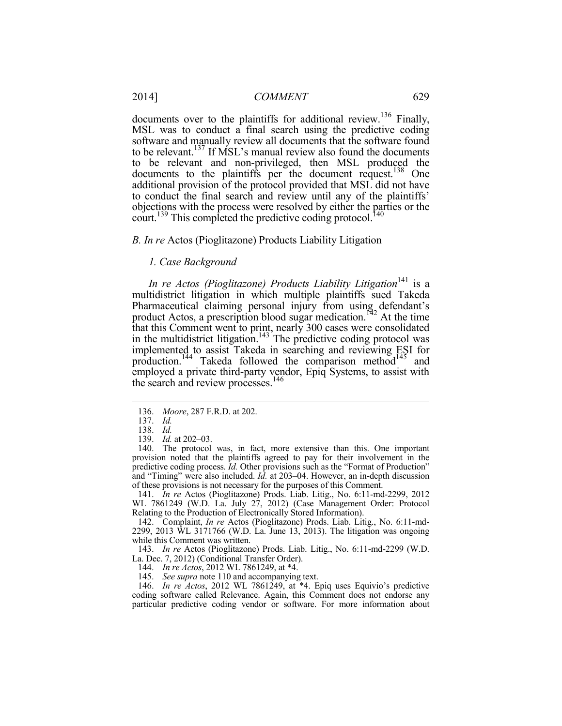documents over to the plaintiffs for additional review.<sup>136</sup> Finally, MSL was to conduct a final search using the predictive coding software and manually review all documents that the software found to be relevant.<sup>137</sup> If MSL's manual review also found the documents to be relevant and non-privileged, then MSL produced the documents to the plaintiffs per the document request.<sup>138</sup> One additional provision of the protocol provided that MSL did not have to conduct the final search and review until any of the plaintiffs' objections with the process were resolved by either the parties or the court.<sup>139</sup> This completed the predictive coding protocol.<sup>140</sup>

#### *B. In re* Actos (Pioglitazone) Products Liability Litigation

# *1. Case Background*

*In re Actos (Pioglitazone) Products Liability Litigation*<sup>141</sup> is a multidistrict litigation in which multiple plaintiffs sued Takeda Pharmaceutical claiming personal injury from using defendant's product Actos, a prescription blood sugar medication.<sup>142</sup> At the time that this Comment went to print, nearly 300 cases were consolidated in the multidistrict litigation.<sup>143</sup> The predictive coding protocol was implemented to assist Takeda in searching and reviewing ESI for production.<sup>144</sup> Takeda followed the comparison method<sup>145</sup> and employed a private third-party vendor, Epiq Systems, to assist with the search and review processes.<sup>146</sup>

1

139. *Id.* at 202–03.

 141. *In re* Actos (Pioglitazone) Prods. Liab. Litig., No. 6:11-md-2299, 2012 WL 7861249 (W.D. La. July 27, 2012) (Case Management Order: Protocol Relating to the Production of Electronically Stored Information).

 142. Complaint, *In re* Actos (Pioglitazone) Prods. Liab. Litig., No. 6:11-md-2299, 2013 WL 3171766 (W.D. La. June 13, 2013). The litigation was ongoing while this Comment was written.

 143. *In re* Actos (Pioglitazone) Prods. Liab. Litig., No. 6:11-md-2299 (W.D. La. Dec. 7, 2012) (Conditional Transfer Order).

144. *In re Actos*, 2012 WL 7861249, at \*4.

145. *See supra* note 110 and accompanying text.

 146. *In re Actos*, 2012 WL 7861249, at \*4. Epiq uses Equivio's predictive coding software called Relevance. Again, this Comment does not endorse any particular predictive coding vendor or software. For more information about

 <sup>136.</sup> *Moore*, 287 F.R.D. at 202.

 <sup>137.</sup> *Id.*

 <sup>138.</sup> *Id.*

 <sup>140.</sup> The protocol was, in fact, more extensive than this. One important provision noted that the plaintiffs agreed to pay for their involvement in the predictive coding process. *Id.* Other provisions such as the "Format of Production" and "Timing" were also included. *Id.* at 203–04. However, an in-depth discussion of these provisions is not necessary for the purposes of this Comment.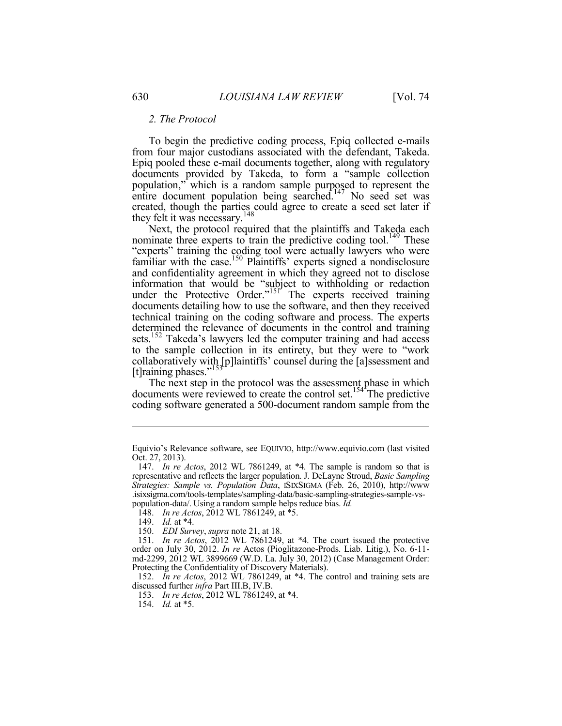#### *2. The Protocol*

To begin the predictive coding process, Epiq collected e-mails from four major custodians associated with the defendant, Takeda. Epiq pooled these e-mail documents together, along with regulatory documents provided by Takeda, to form a "sample collection population," which is a random sample purposed to represent the entire document population being searched.<sup>147</sup> No seed set was created, though the parties could agree to create a seed set later if they felt it was necessary.<sup>148</sup>

Next, the protocol required that the plaintiffs and Takeda each nominate three experts to train the predictive coding tool.<sup>149</sup> These "experts" training the coding tool were actually lawyers who were familiar with the case.<sup>150</sup> Plaintiffs' experts signed a nondisclosure and confidentiality agreement in which they agreed not to disclose information that would be "subject to withholding or redaction under the Protective Order."<sup>151</sup> The experts received training documents detailing how to use the software, and then they received technical training on the coding software and process. The experts determined the relevance of documents in the control and training sets.<sup>152</sup> Takeda's lawyers led the computer training and had access to the sample collection in its entirety, but they were to "work collaboratively with [p]laintiffs' counsel during the [a]ssessment and [t]raining phases."<sup>153</sup>

The next step in the protocol was the assessment phase in which documents were reviewed to create the control set.<sup>154</sup> The predictive coding software generated a 500-document random sample from the

Equivio's Relevance software, see EQUIVIO, http://www.equivio.com (last visited Oct. 27, 2013).

 <sup>147.</sup> *In re Actos*, 2012 WL 7861249, at \*4. The sample is random so that is representative and reflects the larger population. J. DeLayne Stroud, *Basic Sampling Strategies: Sample vs. Population Data*, ISIXSIGMA (Feb. 26, 2010), http://www .isixsigma.com/tools-templates/sampling-data/basic-sampling-strategies-sample-vspopulation-data/. Using a random sample helps reduce bias. *Id.*

 <sup>148.</sup> *In re Actos*, 2012 WL 7861249, at \*5.

 <sup>149.</sup> *Id.* at \*4.

 <sup>150.</sup> *EDI Survey*, *supra* note 21, at 18.

 <sup>151.</sup> *In re Actos*, 2012 WL 7861249, at \*4. The court issued the protective order on July 30, 2012. *In re* Actos (Pioglitazone-Prods. Liab. Litig.), No. 6-11 md-2299, 2012 WL 3899669 (W.D. La. July 30, 2012) (Case Management Order: Protecting the Confidentiality of Discovery Materials).

 <sup>152.</sup> *In re Actos*, 2012 WL 7861249, at \*4. The control and training sets are discussed further *infra* Part III.B, IV.B.

 <sup>153.</sup> *In re Actos*, 2012 WL 7861249, at \*4.

 <sup>154.</sup> *Id.* at \*5.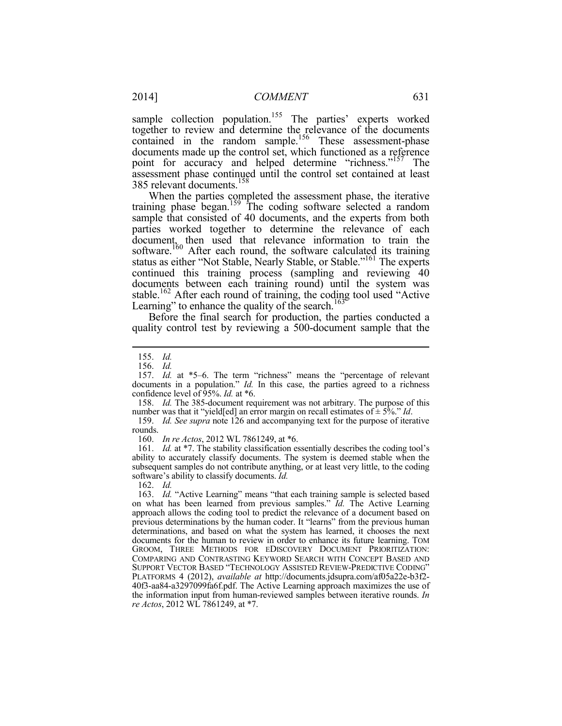sample collection population.<sup>155</sup> The parties' experts worked together to review and determine the relevance of the documents contained in the random sample.<sup>156</sup> These assessment-phase documents made up the control set, which functioned as a reference point for accuracy and helped determine "richness."<sup>157</sup> The assessment phase continued until the control set contained at least 385 relevant documents.158

When the parties completed the assessment phase, the iterative training phase began.<sup>159</sup> The coding software selected a random sample that consisted of 40 documents, and the experts from both parties worked together to determine the relevance of each document, then used that relevance information to train the software.<sup>160</sup> After each round, the software calculated its training status as either "Not Stable, Nearly Stable, or Stable."161 The experts continued this training process (sampling and reviewing 40 documents between each training round) until the system was stable.<sup>162</sup> After each round of training, the coding tool used "Active Learning" to enhance the quality of the search.<sup>163</sup>

Before the final search for production, the parties conducted a quality control test by reviewing a 500-document sample that the

1

 158. *Id.* The 385-document requirement was not arbitrary. The purpose of this number was that it "yield[ed] an error margin on recall estimates of ± 5%." *Id*.

 159. *Id. See supra* note 126 and accompanying text for the purpose of iterative rounds.

160. *In re Actos*, 2012 WL 7861249, at \*6.

161. *Id.* at \*7. The stability classification essentially describes the coding tool's ability to accurately classify documents. The system is deemed stable when the subsequent samples do not contribute anything, or at least very little, to the coding software's ability to classify documents. *Id.*

162. *Id.*

163. *Id.* "Active Learning" means "that each training sample is selected based on what has been learned from previous samples." *Id.* The Active Learning approach allows the coding tool to predict the relevance of a document based on previous determinations by the human coder. It "learns" from the previous human determinations, and based on what the system has learned, it chooses the next documents for the human to review in order to enhance its future learning. TOM GROOM, THREE METHODS FOR EDISCOVERY DOCUMENT PRIORITIZATION: COMPARING AND CONTRASTING KEYWORD SEARCH WITH CONCEPT BASED AND SUPPORT VECTOR BASED "TECHNOLOGY ASSISTED REVIEW-PREDICTIVE CODING" PLATFORMS 4 (2012), *available at* http://documents.jdsupra.com/af05a22e-b3f2- 40f3-aa84-a3297099fa6f.pdf. The Active Learning approach maximizes the use of the information input from human-reviewed samples between iterative rounds. *In re Actos*, 2012 WL 7861249, at \*7.

 <sup>155.</sup> *Id.*

 <sup>156.</sup> *Id.*

 <sup>157.</sup> *Id.* at \*5–6. The term "richness" means the "percentage of relevant documents in a population." *Id.* In this case, the parties agreed to a richness confidence level of 95%. *Id.* at \*6.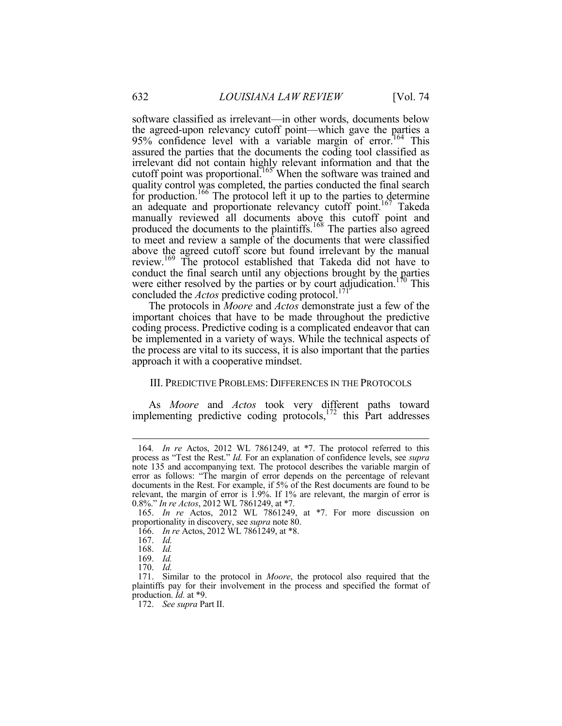software classified as irrelevant—in other words, documents below the agreed-upon relevancy cutoff point—which gave the parties a 95% confidence level with a variable margin of error.<sup>164</sup> This assured the parties that the documents the coding tool classified as irrelevant did not contain highly relevant information and that the cutoff point was proportional.<sup>165</sup> When the software was trained and quality control was completed, the parties conducted the final search for production.<sup>166</sup> The protocol left it up to the parties to determine an adequate and proportionate relevancy cutoff point.<sup>167</sup> Takeda manually reviewed all documents above this cutoff point and produced the documents to the plaintiffs.<sup>168</sup> The parties also agreed to meet and review a sample of the documents that were classified above the agreed cutoff score but found irrelevant by the manual review.<sup>169</sup> The protocol established that Takeda did not have to conduct the final search until any objections brought by the parties were either resolved by the parties or by court adjudication.<sup>170</sup> This concluded the *Actos* predictive coding protocol.<sup>171</sup>

The protocols in *Moore* and *Actos* demonstrate just a few of the important choices that have to be made throughout the predictive coding process. Predictive coding is a complicated endeavor that can be implemented in a variety of ways. While the technical aspects of the process are vital to its success, it is also important that the parties approach it with a cooperative mindset.

# III. PREDICTIVE PROBLEMS: DIFFERENCES IN THE PROTOCOLS

As *Moore* and *Actos* took very different paths toward implementing predictive coding protocols,  $172$  this Part addresses

<u>.</u>

<sup>164</sup>*. In re* Actos, 2012 WL 7861249, at \*7. The protocol referred to this process as "Test the Rest." *Id.* For an explanation of confidence levels, see *supra* note 135 and accompanying text. The protocol describes the variable margin of error as follows: "The margin of error depends on the percentage of relevant documents in the Rest. For example, if 5% of the Rest documents are found to be relevant, the margin of error is 1.9%. If 1% are relevant, the margin of error is 0.8%." *In re Actos*, 2012 WL 7861249, at \*7.

 <sup>165.</sup> *In re* Actos, 2012 WL 7861249, at \*7. For more discussion on proportionality in discovery, see *supra* note 80.

 <sup>166.</sup> *In re* Actos, 2012 WL 7861249, at \*8.

 <sup>167.</sup> *Id.*

 <sup>168.</sup> *Id.*

 <sup>169.</sup> *Id.*

 <sup>170.</sup> *Id.*

 <sup>171.</sup> Similar to the protocol in *Moore*, the protocol also required that the plaintiffs pay for their involvement in the process and specified the format of production. *Id.* at \*9.

 <sup>172.</sup> *See supra* Part II.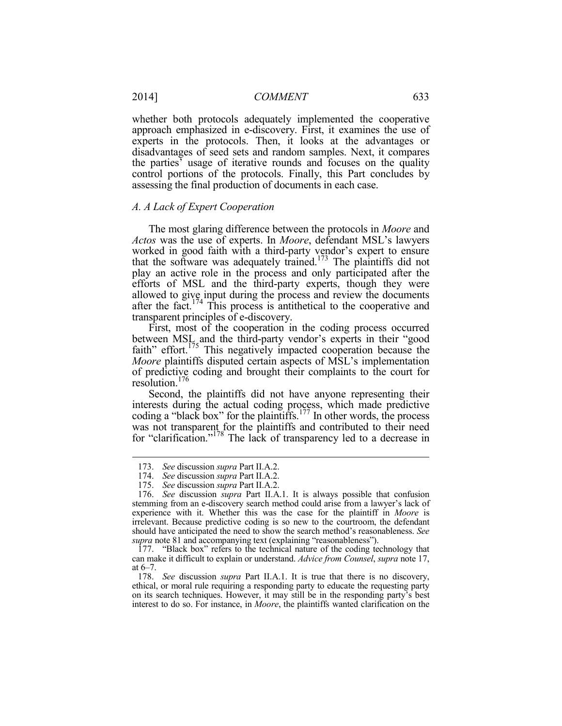whether both protocols adequately implemented the cooperative approach emphasized in e-discovery. First, it examines the use of experts in the protocols. Then, it looks at the advantages or disadvantages of seed sets and random samples. Next, it compares the parties' usage of iterative rounds and focuses on the quality control portions of the protocols. Finally, this Part concludes by assessing the final production of documents in each case.

#### *A. A Lack of Expert Cooperation*

The most glaring difference between the protocols in *Moore* and *Actos* was the use of experts. In *Moore*, defendant MSL's lawyers worked in good faith with a third-party vendor's expert to ensure that the software was adequately trained.<sup>173</sup> The plaintiffs did not play an active role in the process and only participated after the efforts of MSL and the third-party experts, though they were allowed to give input during the process and review the documents after the fact.<sup>174</sup> This process is antithetical to the cooperative and transparent principles of e-discovery.

First, most of the cooperation in the coding process occurred between MSL and the third-party vendor's experts in their "good faith" effort.<sup>175</sup> This negatively impacted cooperation because the *Moore* plaintiffs disputed certain aspects of MSL's implementation of predictive coding and brought their complaints to the court for resolution.176

Second, the plaintiffs did not have anyone representing their interests during the actual coding process, which made predictive coding a "black box" for the plaintiffs.<sup>177</sup> In other words, the process was not transparent for the plaintiffs and contributed to their need for "clarification."<sup>178</sup> The lack of transparency led to a decrease in

 <sup>173.</sup> *See* discussion *supra* Part II.A.2.

 <sup>174.</sup> *See* discussion *supra* Part II.A.2.

 <sup>175.</sup> *See* discussion *supra* Part II.A.2.

 <sup>176.</sup> *See* discussion *supra* Part II.A.1. It is always possible that confusion stemming from an e-discovery search method could arise from a lawyer's lack of experience with it. Whether this was the case for the plaintiff in *Moore* is irrelevant. Because predictive coding is so new to the courtroom, the defendant should have anticipated the need to show the search method's reasonableness. *See supra* note 81 and accompanying text (explaining "reasonableness").

 <sup>177. &</sup>quot;Black box" refers to the technical nature of the coding technology that can make it difficult to explain or understand. *Advice from Counsel*, *supra* note 17, at 6–7.

 <sup>178.</sup> *See* discussion *supra* Part II.A.1. It is true that there is no discovery, ethical, or moral rule requiring a responding party to educate the requesting party on its search techniques. However, it may still be in the responding party's best interest to do so. For instance, in *Moore*, the plaintiffs wanted clarification on the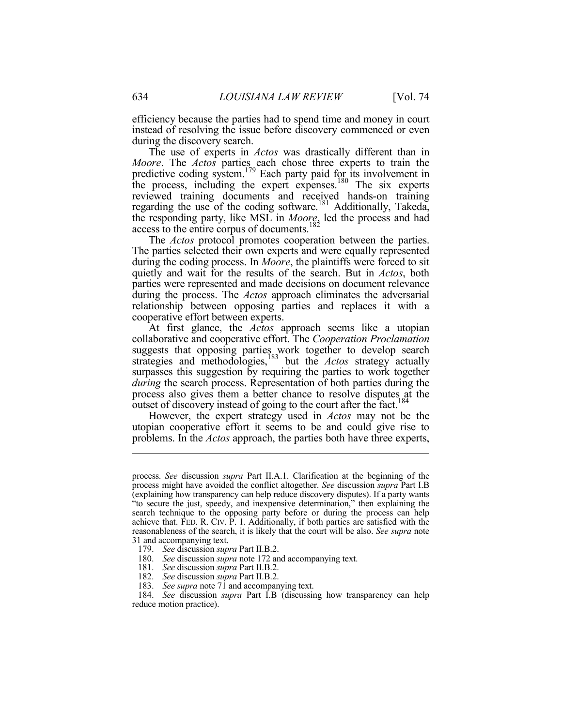efficiency because the parties had to spend time and money in court instead of resolving the issue before discovery commenced or even during the discovery search.

The use of experts in *Actos* was drastically different than in *Moore*. The *Actos* parties each chose three experts to train the predictive coding system.<sup>179</sup> Each party paid for its involvement in the process, including the expert expenses.<sup>180</sup> The six experts reviewed training documents and received hands-on training regarding the use of the coding software.<sup>181</sup> Additionally, Takeda, the responding party, like MSL in *Moore*, led the process and had access to the entire corpus of documents. $182$ 

The *Actos* protocol promotes cooperation between the parties. The parties selected their own experts and were equally represented during the coding process. In *Moore*, the plaintiffs were forced to sit quietly and wait for the results of the search. But in *Actos*, both parties were represented and made decisions on document relevance during the process. The *Actos* approach eliminates the adversarial relationship between opposing parties and replaces it with a cooperative effort between experts.

At first glance, the *Actos* approach seems like a utopian collaborative and cooperative effort. The *Cooperation Proclamation* suggests that opposing parties work together to develop search strategies and methodologies,<sup>183</sup> but the *Actos* strategy actually surpasses this suggestion by requiring the parties to work together *during* the search process. Representation of both parties during the process also gives them a better chance to resolve disputes at the outset of discovery instead of going to the court after the fact.<sup>184</sup>

However, the expert strategy used in *Actos* may not be the utopian cooperative effort it seems to be and could give rise to problems. In the *Actos* approach, the parties both have three experts,

process. *See* discussion *supra* Part II.A.1. Clarification at the beginning of the process might have avoided the conflict altogether. *See* discussion *supra* Part I.B (explaining how transparency can help reduce discovery disputes). If a party wants "to secure the just, speedy, and inexpensive determination," then explaining the search technique to the opposing party before or during the process can help achieve that. FED. R. CIV. P. 1. Additionally, if both parties are satisfied with the reasonableness of the search, it is likely that the court will be also. *See supra* note 31 and accompanying text.

 <sup>179.</sup> *See* discussion *supra* Part II.B.2.

 <sup>180.</sup> *See* discussion *supra* note 172 and accompanying text.

 <sup>181.</sup> *See* discussion *supra* Part II.B.2.

 <sup>182.</sup> *See* discussion *supra* Part II.B.2.

 <sup>183.</sup> *See supra* note 71 and accompanying text.

 <sup>184.</sup> *See* discussion *supra* Part I.B (discussing how transparency can help reduce motion practice).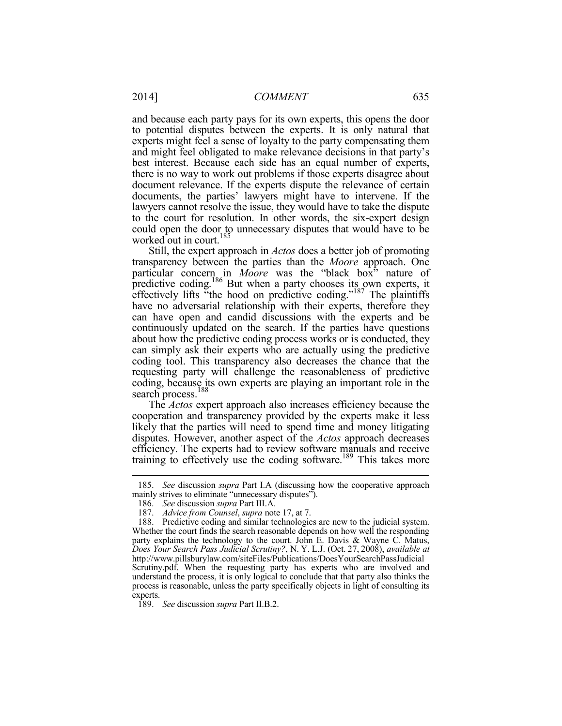and because each party pays for its own experts, this opens the door to potential disputes between the experts. It is only natural that experts might feel a sense of loyalty to the party compensating them and might feel obligated to make relevance decisions in that party's best interest. Because each side has an equal number of experts, there is no way to work out problems if those experts disagree about document relevance. If the experts dispute the relevance of certain documents, the parties' lawyers might have to intervene. If the lawyers cannot resolve the issue, they would have to take the dispute to the court for resolution. In other words, the six-expert design could open the door to unnecessary disputes that would have to be worked out in court.<sup>185</sup>

Still, the expert approach in *Actos* does a better job of promoting transparency between the parties than the *Moore* approach. One particular concern in *Moore* was the "black box" nature of predictive coding.<sup>186</sup> But when a party chooses its own experts, it effectively lifts "the hood on predictive coding."187 The plaintiffs have no adversarial relationship with their experts, therefore they can have open and candid discussions with the experts and be continuously updated on the search. If the parties have questions about how the predictive coding process works or is conducted, they can simply ask their experts who are actually using the predictive coding tool. This transparency also decreases the chance that the requesting party will challenge the reasonableness of predictive coding, because its own experts are playing an important role in the search process.<sup>188</sup>

The *Actos* expert approach also increases efficiency because the cooperation and transparency provided by the experts make it less likely that the parties will need to spend time and money litigating disputes. However, another aspect of the *Actos* approach decreases efficiency. The experts had to review software manuals and receive training to effectively use the coding software.189 This takes more

 <sup>185.</sup> *See* discussion *supra* Part I.A (discussing how the cooperative approach mainly strives to eliminate "unnecessary disputes").

 <sup>186.</sup> *See* discussion *supra* Part III.A.

 <sup>187.</sup> *Advice from Counsel*, *supra* note 17, at 7.

 <sup>188.</sup> Predictive coding and similar technologies are new to the judicial system. Whether the court finds the search reasonable depends on how well the responding party explains the technology to the court. John E. Davis & Wayne C. Matus, *Does Your Search Pass Judicial Scrutiny?*, N. Y. L.J. (Oct. 27, 2008), *available at*  http://www.pillsburylaw.com/siteFiles/Publications/DoesYourSearchPassJudicial Scrutiny.pdf. When the requesting party has experts who are involved and understand the process, it is only logical to conclude that that party also thinks the process is reasonable, unless the party specifically objects in light of consulting its experts.

 <sup>189.</sup> *See* discussion *supra* Part II.B.2.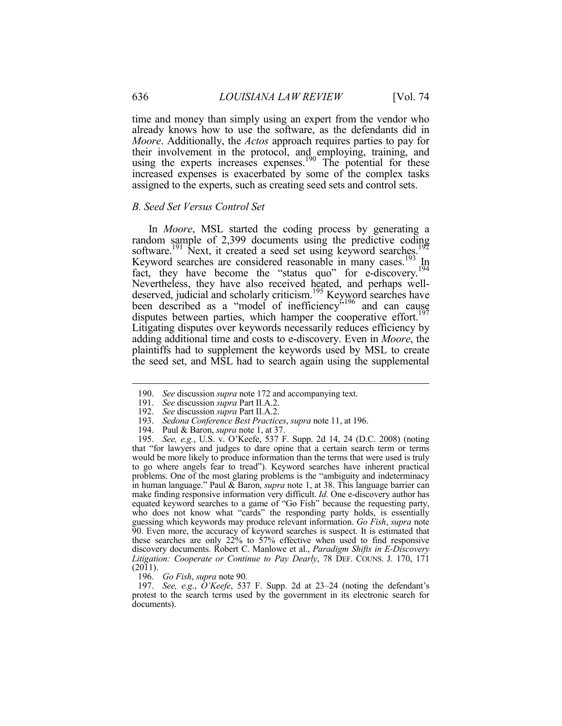time and money than simply using an expert from the vendor who already knows how to use the software, as the defendants did in *Moore*. Additionally, the *Actos* approach requires parties to pay for their involvement in the protocol, and employing, training, and using the experts increases expenses.<sup>190</sup> The potential for these increased expenses is exacerbated by some of the complex tasks assigned to the experts, such as creating seed sets and control sets.

#### *B. Seed Set Versus Control Set*

In *Moore*, MSL started the coding process by generating a random sample of 2,399 documents using the predictive coding software.<sup>191</sup> Next, it created a seed set using keyword searches.<sup>192</sup> Keyword searches are considered reasonable in many cases.<sup>193</sup> In fact, they have become the "status quo" for e-discovery.<sup>194</sup> Nevertheless, they have also received heated, and perhaps welldeserved, judicial and scholarly criticism.<sup>195</sup> Keyword searches have been described as a "model of inefficiency"<sup>196</sup> and can cause disputes between parties, which hamper the cooperative effort.<sup>197</sup> Litigating disputes over keywords necessarily reduces efficiency by adding additional time and costs to e-discovery. Even in *Moore*, the plaintiffs had to supplement the keywords used by MSL to create the seed set, and MSL had to search again using the supplemental

 195. *See, e.g.*, U.S. v. O'Keefe, 537 F. Supp. 2d 14, 24 (D.C. 2008) (noting that "for lawyers and judges to dare opine that a certain search term or terms would be more likely to produce information than the terms that were used is truly to go where angels fear to tread"). Keyword searches have inherent practical problems. One of the most glaring problems is the "ambiguity and indeterminacy in human language." Paul & Baron, *supra* note 1, at 38. This language barrier can make finding responsive information very difficult. *Id.* One e-discovery author has equated keyword searches to a game of "Go Fish" because the requesting party, who does not know what "cards" the responding party holds, is essentially guessing which keywords may produce relevant information. *Go Fish*, *supra* note 90. Even more, the accuracy of keyword searches is suspect. It is estimated that these searches are only  $22\%$  to  $57\%$  effective when used to find responsive discovery documents. Robert C. Manlowe et al., *Paradigm Shifts in E-Discovery Litigation: Cooperate or Continue to Pay Dearly*, 78 DEF. COUNS. J. 170, 171 (2011).

196. *Go Fish*, *supra* note 90.

 197. *See, e.g*., *O'Keefe*, 537 F. Supp. 2d at 23–24 (noting the defendant's protest to the search terms used by the government in its electronic search for documents).

<u>.</u>

 <sup>190.</sup> *See* discussion *supra* note 172 and accompanying text.

 <sup>191.</sup> *See* discussion *supra* Part II.A.2.

 <sup>192.</sup> *See* discussion *supra* Part II.A.2.

 <sup>193.</sup> *Sedona Conference Best Practices*, *supra* note 11, at 196.

<sup>193.</sup> *Sedona Conference Best Practices*<br>194. Paul & Baron, *supra* note 1, at 37.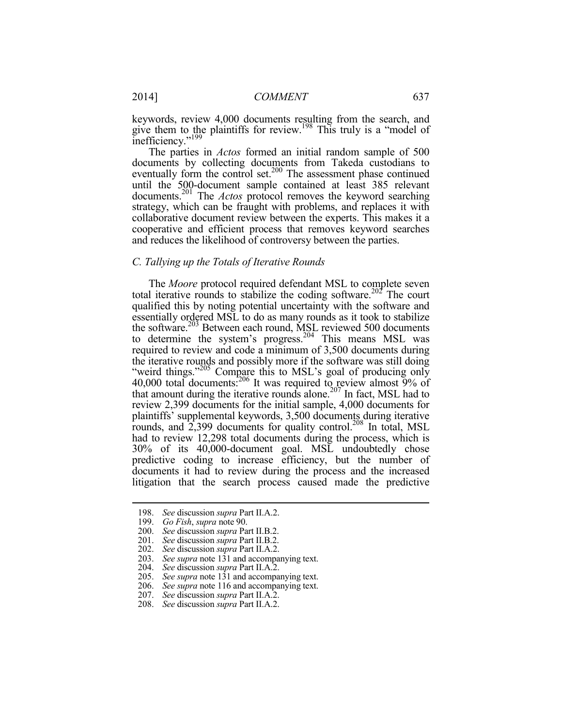keywords, review 4,000 documents resulting from the search, and give them to the plaintiffs for review.<sup>198</sup> This truly is a "model of inefficiency."<sup>199</sup>

The parties in *Actos* formed an initial random sample of 500 documents by collecting documents from Takeda custodians to eventually form the control set.<sup>200</sup> The assessment phase continued until the 500-document sample contained at least 385 relevant documents.201 The *Actos* protocol removes the keyword searching strategy, which can be fraught with problems, and replaces it with collaborative document review between the experts. This makes it a cooperative and efficient process that removes keyword searches and reduces the likelihood of controversy between the parties.

# *C. Tallying up the Totals of Iterative Rounds*

The *Moore* protocol required defendant MSL to complete seven total iterative rounds to stabilize the coding software.<sup>202</sup> The court qualified this by noting potential uncertainty with the software and essentially ordered MSL to do as many rounds as it took to stabilize the software.<sup>203</sup> Between each round, MSL reviewed 500 documents to determine the system's progress.<sup>204</sup> This means MSL was required to review and code a minimum of 3,500 documents during the iterative rounds and possibly more if the software was still doing "weird things."<sup>205</sup> Compare this to MSL's goal of producing only 40,000 total documents: $206$  It was required to review almost 9% of that amount during the iterative rounds alone.<sup>207</sup> In fact, MSL had to review 2,399 documents for the initial sample, 4,000 documents for plaintiffs' supplemental keywords, 3,500 documents during iterative rounds, and  $2,399$  documents for quality control.<sup>208</sup> In total, MSL had to review 12,298 total documents during the process, which is 30% of its 40,000-document goal. MSL undoubtedly chose predictive coding to increase efficiency, but the number of documents it had to review during the process and the increased litigation that the search process caused made the predictive

 <sup>198.</sup> *See* discussion *supra* Part II.A.2.

 <sup>199.</sup> *Go Fish*, *supra* note 90.

 <sup>200.</sup> *See* discussion *supra* Part II.B.2.

 <sup>201.</sup> *See* discussion *supra* Part II.B.2.

 <sup>202.</sup> *See* discussion *supra* Part II.A.2.

 <sup>203.</sup> *See supra* note 131 and accompanying text.

 <sup>204.</sup> *See* discussion *supra* Part II.A.2.

 <sup>205.</sup> *See supra* note 131 and accompanying text.

 <sup>206.</sup> *See supra* note 116 and accompanying text.

 <sup>207.</sup> *See* discussion *supra* Part II.A.2.

 <sup>208.</sup> *See* discussion *supra* Part II.A.2.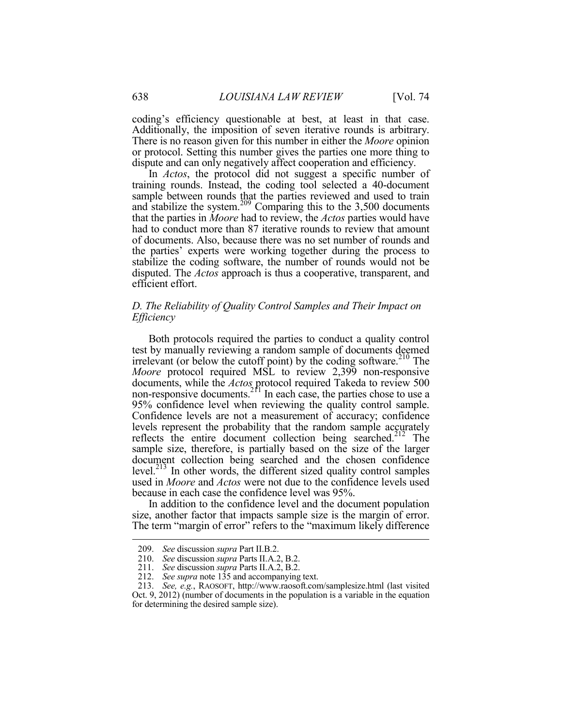coding's efficiency questionable at best, at least in that case. Additionally, the imposition of seven iterative rounds is arbitrary. There is no reason given for this number in either the *Moore* opinion or protocol. Setting this number gives the parties one more thing to dispute and can only negatively affect cooperation and efficiency.

In *Actos*, the protocol did not suggest a specific number of training rounds. Instead, the coding tool selected a 40-document sample between rounds that the parties reviewed and used to train and stabilize the system.<sup>209</sup> Comparing this to the  $3,500$  documents that the parties in *Moore* had to review, the *Actos* parties would have had to conduct more than 87 iterative rounds to review that amount of documents. Also, because there was no set number of rounds and the parties' experts were working together during the process to stabilize the coding software, the number of rounds would not be disputed. The *Actos* approach is thus a cooperative, transparent, and efficient effort.

# *D. The Reliability of Quality Control Samples and Their Impact on Efficiency*

Both protocols required the parties to conduct a quality control test by manually reviewing a random sample of documents deemed irrelevant (or below the cutoff point) by the coding software.<sup>210</sup> The *Moore* protocol required MSL to review 2,399 non-responsive documents, while the *Actos* protocol required Takeda to review 500 non-responsive documents. $2^{r_1}$  In each case, the parties chose to use a 95% confidence level when reviewing the quality control sample. Confidence levels are not a measurement of accuracy; confidence levels represent the probability that the random sample accurately reflects the entire document collection being searched.<sup>212</sup> The sample size, therefore, is partially based on the size of the larger document collection being searched and the chosen confidence level.213 In other words, the different sized quality control samples used in *Moore* and *Actos* were not due to the confidence levels used because in each case the confidence level was 95%.

In addition to the confidence level and the document population size, another factor that impacts sample size is the margin of error. The term "margin of error" refers to the "maximum likely difference

 <sup>209.</sup> *See* discussion *supra* Part II.B.2.

 <sup>210.</sup> *See* discussion *supra* Parts II.A.2, B.2.

 <sup>211.</sup> *See* discussion *supra* Parts II.A.2, B.2.

 <sup>212.</sup> *See supra* note 135 and accompanying text.

 <sup>213.</sup> *See, e.g.*, RAOSOFT, http://www.raosoft.com/samplesize.html (last visited Oct. 9, 2012) (number of documents in the population is a variable in the equation for determining the desired sample size).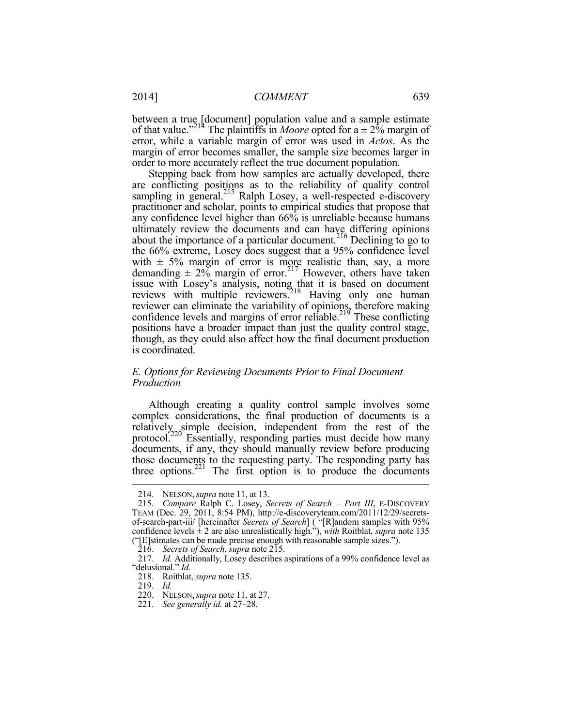between a true [document] population value and a sample estimate of that value."<sup>214</sup> The plaintiffs in *Moore* opted for  $a \pm 2\%$  margin of error, while a variable margin of error was used in *Actos*. As the margin of error becomes smaller, the sample size becomes larger in order to more accurately reflect the true document population.

Stepping back from how samples are actually developed, there are conflicting positions as to the reliability of quality control sampling in general.<sup>215</sup> Ralph Losey, a well-respected e-discovery practitioner and scholar, points to empirical studies that propose that any confidence level higher than 66% is unreliable because humans ultimately review the documents and can have differing opinions about the importance of a particular document.<sup>216</sup> Declining to go to the 66% extreme, Losey does suggest that a 95% confidence level with  $\pm$  5% margin of error is more realistic than, say, a more demanding  $\pm 2\%$  margin of error.<sup>217</sup> However, others have taken issue with Losey's analysis, noting that it is based on document reviews with multiple reviewers.<sup>218</sup> Having only one human reviewer can eliminate the variability of opinions, therefore making confidence levels and margins of error reliable.<sup>219</sup> These conflicting positions have a broader impact than just the quality control stage, though, as they could also affect how the final document production is coordinated.

# *E. Options for Reviewing Documents Prior to Final Document Production*

Although creating a quality control sample involves some complex considerations, the final production of documents is a relatively simple decision, independent from the rest of the protocol.220 Essentially, responding parties must decide how many documents, if any, they should manually review before producing those documents to the requesting party. The responding party has three options.<sup>221</sup> The first option is to produce the documents

 <sup>214.</sup> NELSON,*supra* note 11, at 13.

 <sup>215.</sup> *Compare* Ralph C. Losey, *Secrets of Search – Part III*, E-DISCOVERY TEAM (Dec. 29, 2011, 8:54 PM), http://e-discoveryteam.com/2011/12/29/secretsof-search-part-iii/ [hereinafter *Secrets of Search*] ( "[R]andom samples with 95% confidence levels  $\pm 2$  are also unrealistically high."), *with* Roitblat, *supra* note 135 ("[E]stimates can be made precise enough with reasonable sample sizes.").

 <sup>216.</sup> *Secrets of Search*, *supra* note 215.

 <sup>217.</sup> *Id.* Additionally, Losey describes aspirations of a 99% confidence level as "delusional." *Id.*

 <sup>218.</sup> Roitblat, *supra* note 135.

 <sup>219.</sup> *Id.*

 <sup>220.</sup> NELSON,*supra* note 11, at 27.

 <sup>221.</sup> *See generally id.* at 27–28.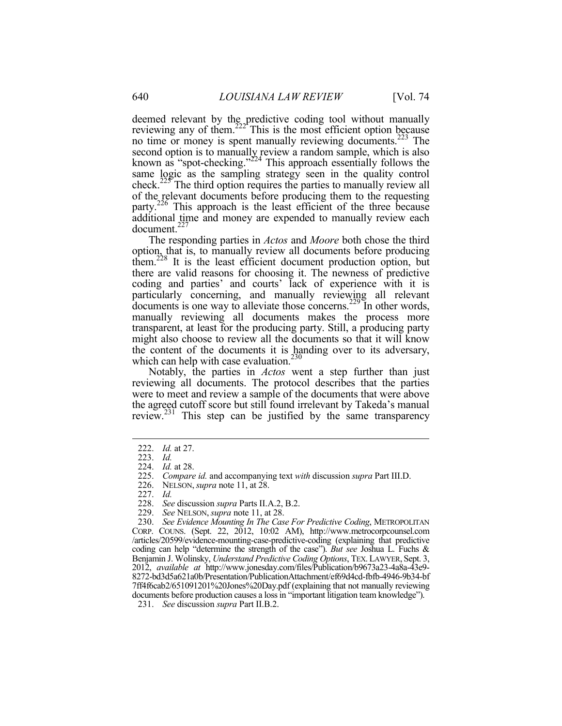deemed relevant by the predictive coding tool without manually reviewing any of them.<sup>222</sup> This is the most efficient option because no time or money is spent manually reviewing documents.<sup>223</sup> The second option is to manually review a random sample, which is also known as "spot-checking." $2^{224}$  This approach essentially follows the same logic as the sampling strategy seen in the quality control check.225 The third option requires the parties to manually review all of the relevant documents before producing them to the requesting party.226 This approach is the least efficient of the three because additional time and money are expended to manually review each document.227

The responding parties in *Actos* and *Moore* both chose the third option, that is, to manually review all documents before producing them.<sup>228</sup> It is the least efficient document production option, but there are valid reasons for choosing it. The newness of predictive coding and parties' and courts' lack of experience with it is particularly concerning, and manually reviewing all relevant  $\frac{1}{2}$  documents is one way to alleviate those concerns.<sup>229</sup> In other words, manually reviewing all documents makes the process more transparent, at least for the producing party. Still, a producing party might also choose to review all the documents so that it will know the content of the documents it is handing over to its adversary, which can help with case evaluation. $230$ 

Notably, the parties in *Actos* went a step further than just reviewing all documents. The protocol describes that the parties were to meet and review a sample of the documents that were above the agreed cutoff score but still found irrelevant by Takeda's manual review.<sup>231</sup> This step can be justified by the same transparency

<u>.</u>

228. *See* discussion *supra* Parts II.A.2, B.2.

 <sup>222.</sup> *Id.* at 27.

 <sup>223.</sup> *Id.*

 <sup>224.</sup> *Id.* at 28.

 <sup>225.</sup> *Compare id.* and accompanying text *with* discussion *supra* Part III.D.

 <sup>226.</sup> NELSON,*supra* note 11, at 28.

 <sup>227.</sup> *Id.*

 <sup>229.</sup> *See* NELSON, *supra* note 11, at 28.

 <sup>230.</sup> *See Evidence Mounting In The Case For Predictive Coding*, METROPOLITAN CORP. COUNS. (Sept. 22, 2012, 10:02 AM), http://www.metrocorpcounsel.com /articles/20599/evidence-mounting-case-predictive-coding (explaining that predictive coding can help "determine the strength of the case"). *But see* Joshua L. Fuchs & Benjamin J. Wolinsky, *Understand Predictive Coding Options*, TEX. LAWYER, Sept. 3, 2012, *available at* http://www.jonesday.com/files/Publication/b9673a23-4a8a-43e9- 8272-bd3d5a621a0b/Presentation/PublicationAttachment/ef69d4cd-fbfb-4946-9b34-bf 7ff4f6cab2/651091201%20Jones%20Day.pdf (explaining that not manually reviewing documents before production causes a loss in "important litigation team knowledge").

 <sup>231.</sup> *See* discussion *supra* Part II.B.2.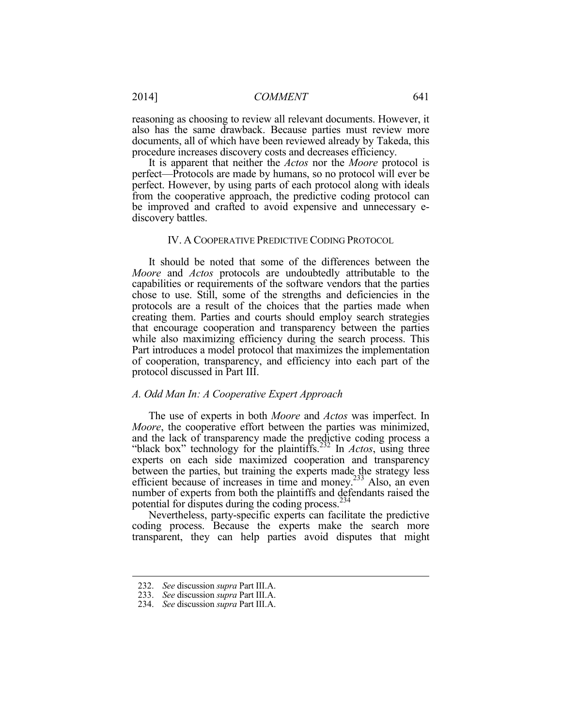reasoning as choosing to review all relevant documents. However, it also has the same drawback. Because parties must review more documents, all of which have been reviewed already by Takeda, this procedure increases discovery costs and decreases efficiency.

It is apparent that neither the *Actos* nor the *Moore* protocol is perfect—Protocols are made by humans, so no protocol will ever be perfect. However, by using parts of each protocol along with ideals from the cooperative approach, the predictive coding protocol can be improved and crafted to avoid expensive and unnecessary ediscovery battles.

#### IV. A COOPERATIVE PREDICTIVE CODING PROTOCOL

It should be noted that some of the differences between the *Moore* and *Actos* protocols are undoubtedly attributable to the capabilities or requirements of the software vendors that the parties chose to use. Still, some of the strengths and deficiencies in the protocols are a result of the choices that the parties made when creating them. Parties and courts should employ search strategies that encourage cooperation and transparency between the parties while also maximizing efficiency during the search process. This Part introduces a model protocol that maximizes the implementation of cooperation, transparency, and efficiency into each part of the protocol discussed in Part III.

#### *A. Odd Man In: A Cooperative Expert Approach*

The use of experts in both *Moore* and *Actos* was imperfect. In *Moore*, the cooperative effort between the parties was minimized, and the lack of transparency made the predictive coding process a "black box" technology for the plaintiffs.<sup>232</sup> In *Actos*, using three experts on each side maximized cooperation and transparency between the parties, but training the experts made the strategy less efficient because of increases in time and money.233 Also, an even number of experts from both the plaintiffs and defendants raised the potential for disputes during the coding process. $^{234}$ 

Nevertheless, party-specific experts can facilitate the predictive coding process. Because the experts make the search more transparent, they can help parties avoid disputes that might

<u>.</u>

 <sup>232.</sup> *See* discussion *supra* Part III.A.

 <sup>233.</sup> *See* discussion *supra* Part III.A.

 <sup>234.</sup> *See* discussion *supra* Part III.A.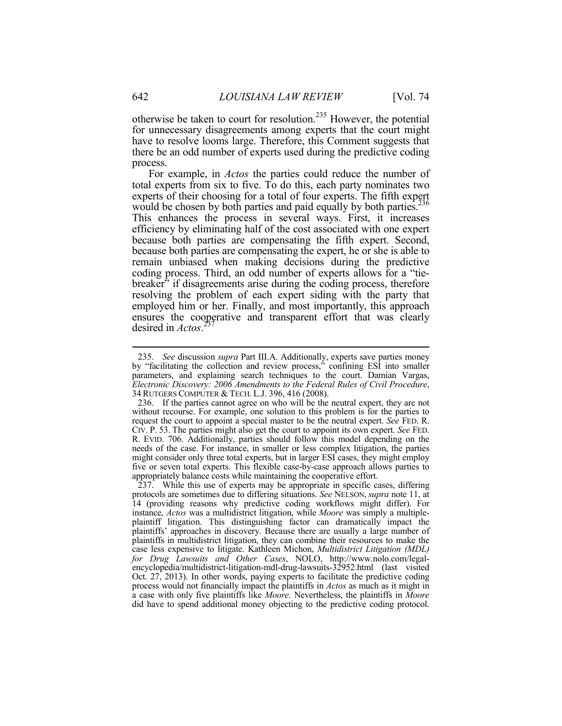otherwise be taken to court for resolution.235 However, the potential for unnecessary disagreements among experts that the court might have to resolve looms large. Therefore, this Comment suggests that there be an odd number of experts used during the predictive coding process.

For example, in *Actos* the parties could reduce the number of total experts from six to five. To do this, each party nominates two experts of their choosing for a total of four experts. The fifth expert would be chosen by both parties and paid equally by both parties.<sup>236</sup> This enhances the process in several ways. First, it increases efficiency by eliminating half of the cost associated with one expert because both parties are compensating the fifth expert. Second, because both parties are compensating the expert, he or she is able to remain unbiased when making decisions during the predictive coding process. Third, an odd number of experts allows for a "tiebreaker" if disagreements arise during the coding process, therefore resolving the problem of each expert siding with the party that employed him or her. Finally, and most importantly, this approach ensures the cooperative and transparent effort that was clearly desired in *Actos*. 237

 <sup>235.</sup> *See* discussion *supra* Part III.A. Additionally, experts save parties money by "facilitating the collection and review process," confining ESI into smaller parameters, and explaining search techniques to the court. Damian Vargas, *Electronic Discovery: 2006 Amendments to the Federal Rules of Civil Procedure*, 34 RUTGERS COMPUTER & TECH. L.J. 396, 416 (2008).

 <sup>236.</sup> If the parties cannot agree on who will be the neutral expert, they are not without recourse. For example, one solution to this problem is for the parties to request the court to appoint a special master to be the neutral expert. *See* FED. R. CIV. P. 53. The parties might also get the court to appoint its own expert. *See* FED. R. EVID. 706. Additionally, parties should follow this model depending on the needs of the case. For instance, in smaller or less complex litigation, the parties might consider only three total experts, but in larger ESI cases, they might employ five or seven total experts. This flexible case-by-case approach allows parties to appropriately balance costs while maintaining the cooperative effort.

 <sup>237.</sup> While this use of experts may be appropriate in specific cases, differing protocols are sometimes due to differing situations. *See* NELSON, *supra* note 11, at 14 (providing reasons why predictive coding workflows might differ). For instance, *Actos* was a multidistrict litigation, while *Moore* was simply a multipleplaintiff litigation. This distinguishing factor can dramatically impact the plaintiffs' approaches in discovery. Because there are usually a large number of plaintiffs in multidistrict litigation, they can combine their resources to make the case less expensive to litigate. Kathleen Michon, *Multidistrict Litigation (MDL) for Drug Lawsuits and Other Cases*, NOLO, http://www.nolo.com/legalencyclopedia/multidistrict-litigation-mdl-drug-lawsuits-32952.html (last visited Oct. 27, 2013). In other words, paying experts to facilitate the predictive coding process would not financially impact the plaintiffs in *Actos* as much as it might in a case with only five plaintiffs like *Moore*. Nevertheless, the plaintiffs in *Moore* did have to spend additional money objecting to the predictive coding protocol.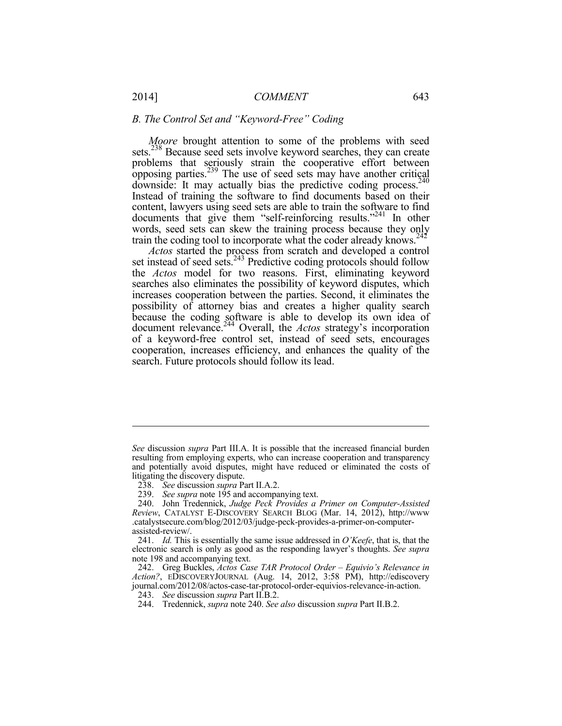#### *B. The Control Set and "Keyword-Free" Coding*

*Moore* brought attention to some of the problems with seed sets.<sup>238</sup> Because seed sets involve keyword searches, they can create problems that seriously strain the cooperative effort between opposing parties.239 The use of seed sets may have another critical downside: It may actually bias the predictive coding process.<sup>240</sup> Instead of training the software to find documents based on their content, lawyers using seed sets are able to train the software to find documents that give them "self-reinforcing results."241 In other words, seed sets can skew the training process because they only train the coding tool to incorporate what the coder already knows.<sup>242</sup>

*Actos* started the process from scratch and developed a control set instead of seed sets.<sup>243</sup> Predictive coding protocols should follow the *Actos* model for two reasons. First, eliminating keyword searches also eliminates the possibility of keyword disputes, which increases cooperation between the parties. Second, it eliminates the possibility of attorney bias and creates a higher quality search because the coding software is able to develop its own idea of document relevance.244 Overall, the *Actos* strategy's incorporation of a keyword-free control set, instead of seed sets, encourages cooperation, increases efficiency, and enhances the quality of the search. Future protocols should follow its lead.

*See* discussion *supra* Part III.A. It is possible that the increased financial burden resulting from employing experts, who can increase cooperation and transparency and potentially avoid disputes, might have reduced or eliminated the costs of litigating the discovery dispute.

 <sup>238.</sup> *See* discussion *supra* Part II.A.2.

<sup>239.</sup> *See supra* note 195 and accompanying text.

 <sup>240.</sup> John Tredennick, *Judge Peck Provides a Primer on Computer-Assisted Review*, CATALYST E-DISCOVERY SEARCH BLOG (Mar. 14, 2012), http://www .catalystsecure.com/blog/2012/03/judge-peck-provides-a-primer-on-computerassisted-review/.

 <sup>241.</sup> *Id.* This is essentially the same issue addressed in *O'Keefe*, that is, that the electronic search is only as good as the responding lawyer's thoughts. *See supra* note 198 and accompanying text.

 <sup>242.</sup> Greg Buckles, *Actos Case TAR Protocol Order – Equivio's Relevance in Action?*, EDISCOVERYJOURNAL (Aug. 14, 2012, 3:58 PM), http://ediscovery journal.com/2012/08/actos-case-tar-protocol-order-equivios-relevance-in-action.

 <sup>243.</sup> *See* discussion *supra* Part II.B.2.

 <sup>244.</sup> Tredennick, *supra* note 240. *See also* discussion *supra* Part II.B.2.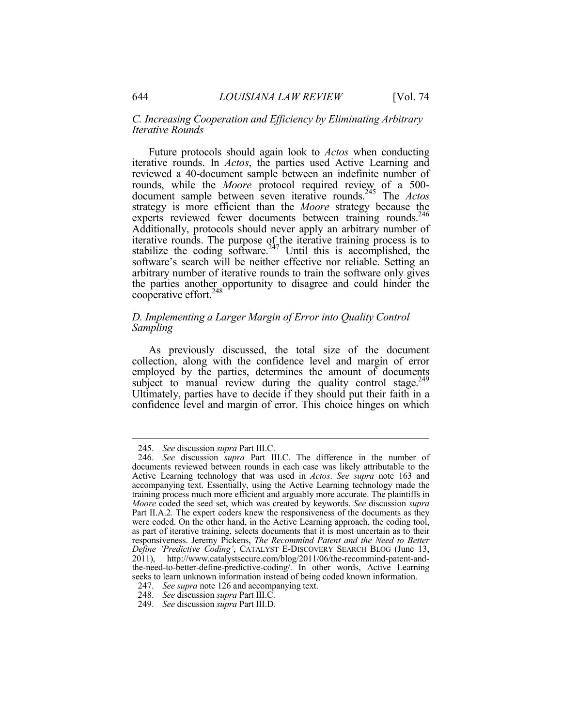#### *C. Increasing Cooperation and Efficiency by Eliminating Arbitrary Iterative Rounds*

Future protocols should again look to *Actos* when conducting iterative rounds. In *Actos*, the parties used Active Learning and reviewed a 40-document sample between an indefinite number of rounds, while the *Moore* protocol required review of a 500 document sample between seven iterative rounds.245 The *Actos* strategy is more efficient than the *Moore* strategy because the experts reviewed fewer documents between training rounds.<sup>246</sup> Additionally, protocols should never apply an arbitrary number of iterative rounds. The purpose of the iterative training process is to stabilize the coding software.<sup> $247$ </sup> Until this is accomplished, the software's search will be neither effective nor reliable. Setting an arbitrary number of iterative rounds to train the software only gives the parties another opportunity to disagree and could hinder the cooperative effort.<sup>248</sup>

# *D. Implementing a Larger Margin of Error into Quality Control Sampling*

As previously discussed, the total size of the document collection, along with the confidence level and margin of error employed by the parties, determines the amount of documents subject to manual review during the quality control stage.<sup>249</sup> Ultimately, parties have to decide if they should put their faith in a confidence level and margin of error. This choice hinges on which

<u>.</u>

 <sup>245.</sup> *See* discussion *supra* Part III.C.

 <sup>246.</sup> *See* discussion *supra* Part III.C. The difference in the number of documents reviewed between rounds in each case was likely attributable to the Active Learning technology that was used in *Actos*. *See supra* note 163 and accompanying text. Essentially, using the Active Learning technology made the training process much more efficient and arguably more accurate. The plaintiffs in *Moore* coded the seed set, which was created by keywords. *See* discussion *supra* Part II.A.2. The expert coders knew the responsiveness of the documents as they were coded. On the other hand, in the Active Learning approach, the coding tool, as part of iterative training, selects documents that it is most uncertain as to their responsiveness. Jeremy Pickens, *The Recommind Patent and the Need to Better Define 'Predictive Coding'*, CATALYST E-DISCOVERY SEARCH BLOG (June 13, 2011), http://www.catalystsecure.com/blog/2011/06/the-recommind-patent-andthe-need-to-better-define-predictive-coding/. In other words, Active Learning seeks to learn unknown information instead of being coded known information.

 <sup>247.</sup> *See supra* note 126 and accompanying text.

 <sup>248.</sup> *See* discussion *supra* Part III.C.

 <sup>249.</sup> *See* discussion *supra* Part III.D.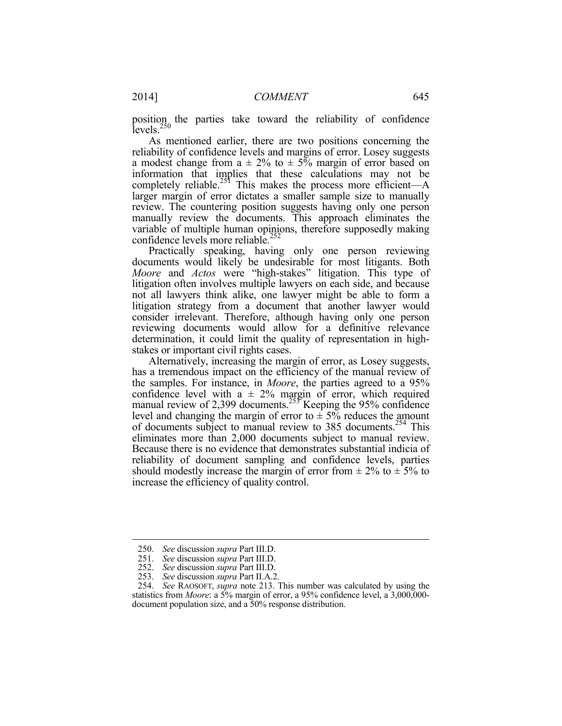position the parties take toward the reliability of confidence levels.<sup>250</sup>

As mentioned earlier, there are two positions concerning the reliability of confidence levels and margins of error. Losey suggests a modest change from  $a \pm 2\%$  to  $\pm 5\%$  margin of error based on information that implies that these calculations may not be completely reliable.<sup>251</sup> This makes the process more efficient—A larger margin of error dictates a smaller sample size to manually review. The countering position suggests having only one person manually review the documents. This approach eliminates the variable of multiple human opinions, therefore supposedly making confidence levels more reliable.<sup>252</sup>

Practically speaking, having only one person reviewing documents would likely be undesirable for most litigants. Both *Moore* and *Actos* were "high-stakes" litigation. This type of litigation often involves multiple lawyers on each side, and because not all lawyers think alike, one lawyer might be able to form a litigation strategy from a document that another lawyer would consider irrelevant. Therefore, although having only one person reviewing documents would allow for a definitive relevance determination, it could limit the quality of representation in highstakes or important civil rights cases.

Alternatively, increasing the margin of error, as Losey suggests, has a tremendous impact on the efficiency of the manual review of the samples. For instance, in *Moore*, the parties agreed to a 95% confidence level with  $a \pm 2\%$  margin of error, which required manual review of 2,399 documents.<sup>255</sup> Keeping the 95% confidence level and changing the margin of error to  $\pm$  5% reduces the amount of documents subject to manual review to 385 documents.<sup>254</sup> This eliminates more than 2,000 documents subject to manual review. Because there is no evidence that demonstrates substantial indicia of reliability of document sampling and confidence levels, parties should modestly increase the margin of error from  $\pm 2\%$  to  $\pm 5\%$  to increase the efficiency of quality control.

 <sup>250.</sup> *See* discussion *supra* Part III.D.

 <sup>251.</sup> *See* discussion *supra* Part III.D. 252. *See* discussion *supra* Part III.D.

 <sup>253.</sup> *See* discussion *supra* Part II.A.2.

 <sup>254.</sup> *See* RAOSOFT, *supra* note 213. This number was calculated by using the statistics from *Moore*: a 5% margin of error, a 95% confidence level, a 3,000,000 document population size, and a 50% response distribution.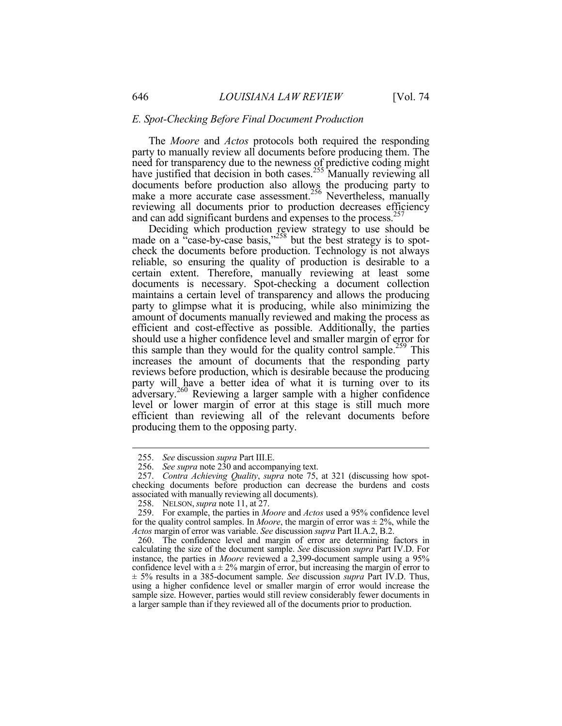#### *E. Spot-Checking Before Final Document Production*

The *Moore* and *Actos* protocols both required the responding party to manually review all documents before producing them. The need for transparency due to the newness of predictive coding might have justified that decision in both cases.<sup>255</sup> Manually reviewing all documents before production also allows the producing party to make a more accurate case assessment.<sup>256</sup> Nevertheless, manually reviewing all documents prior to production decreases efficiency and can add significant burdens and expenses to the process.<sup>257</sup>

Deciding which production review strategy to use should be made on a "case-by-case basis," $258$  but the best strategy is to spotcheck the documents before production. Technology is not always reliable, so ensuring the quality of production is desirable to a certain extent. Therefore, manually reviewing at least some documents is necessary. Spot-checking a document collection maintains a certain level of transparency and allows the producing party to glimpse what it is producing, while also minimizing the amount of documents manually reviewed and making the process as efficient and cost-effective as possible. Additionally, the parties should use a higher confidence level and smaller margin of error for this sample than they would for the quality control sample.<sup>259</sup> This increases the amount of documents that the responding party reviews before production, which is desirable because the producing party will have a better idea of what it is turning over to its adversary.<sup>260</sup> Reviewing a larger sample with a higher confidence level or lower margin of error at this stage is still much more efficient than reviewing all of the relevant documents before producing them to the opposing party.

 <sup>255.</sup> *See* discussion *supra* Part III.E.

 <sup>256.</sup> *See supra* note 230 and accompanying text.

 <sup>257.</sup> *Contra Achieving Quality*, *supra* note 75, at 321 (discussing how spotchecking documents before production can decrease the burdens and costs associated with manually reviewing all documents).

 <sup>258.</sup> NELSON,*supra* note 11, at 27.

 <sup>259.</sup> For example, the parties in *Moore* and *Actos* used a 95% confidence level for the quality control samples. In *Moore*, the margin of error was  $\pm$  2%, while the *Actos* margin of error was variable. *See* discussion *supra* Part II.A.2, B.2.

 <sup>260.</sup> The confidence level and margin of error are determining factors in calculating the size of the document sample. *See* discussion *supra* Part IV.D. For instance, the parties in *Moore* reviewed a 2,399-document sample using a 95% confidence level with  $a \pm 2\%$  margin of error, but increasing the margin of error to ± 5% results in a 385-document sample. *See* discussion *supra* Part IV.D. Thus, using a higher confidence level or smaller margin of error would increase the sample size. However, parties would still review considerably fewer documents in a larger sample than if they reviewed all of the documents prior to production.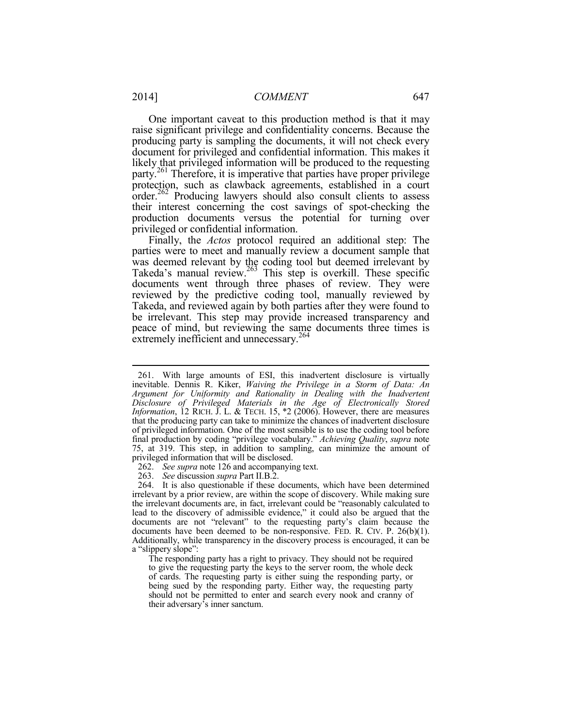One important caveat to this production method is that it may raise significant privilege and confidentiality concerns. Because the producing party is sampling the documents, it will not check every document for privileged and confidential information. This makes it likely that privileged information will be produced to the requesting party.261 Therefore, it is imperative that parties have proper privilege protection, such as clawback agreements, established in a court order.<sup>262</sup> Producing lawyers should also consult clients to assess their interest concerning the cost savings of spot-checking the production documents versus the potential for turning over privileged or confidential information.

Finally, the *Actos* protocol required an additional step: The parties were to meet and manually review a document sample that was deemed relevant by the coding tool but deemed irrelevant by Takeda's manual review.<sup>263</sup> This step is overkill. These specific documents went through three phases of review. They were reviewed by the predictive coding tool, manually reviewed by Takeda, and reviewed again by both parties after they were found to be irrelevant. This step may provide increased transparency and peace of mind, but reviewing the same documents three times is extremely inefficient and unnecessary.<sup>264</sup>

263. *See* discussion *supra* Part II.B.2.

 264. It is also questionable if these documents, which have been determined irrelevant by a prior review, are within the scope of discovery. While making sure the irrelevant documents are, in fact, irrelevant could be "reasonably calculated to lead to the discovery of admissible evidence," it could also be argued that the documents are not "relevant" to the requesting party's claim because the documents have been deemed to be non-responsive. FED. R. CIV. P. 26(b)(1). Additionally, while transparency in the discovery process is encouraged, it can be a "slippery slope":

The responding party has a right to privacy. They should not be required to give the requesting party the keys to the server room, the whole deck of cards. The requesting party is either suing the responding party, or being sued by the responding party. Either way, the requesting party should not be permitted to enter and search every nook and cranny of their adversary's inner sanctum.

 <sup>261.</sup> With large amounts of ESI, this inadvertent disclosure is virtually inevitable. Dennis R. Kiker, *Waiving the Privilege in a Storm of Data: An Argument for Uniformity and Rationality in Dealing with the Inadvertent Disclosure of Privileged Materials in the Age of Electronically Stored Information*, 12 RICH. J. L. & TECH. 15, \*2 (2006). However, there are measures that the producing party can take to minimize the chances of inadvertent disclosure of privileged information. One of the most sensible is to use the coding tool before final production by coding "privilege vocabulary." *Achieving Quality*, *supra* note 75, at 319. This step, in addition to sampling, can minimize the amount of privileged information that will be disclosed.

 <sup>262.</sup> *See supra* note 126 and accompanying text.